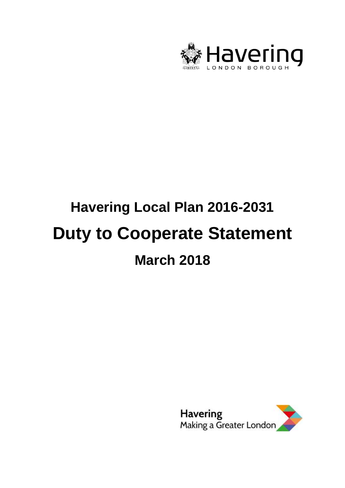

# **Havering Local Plan 2016-2031 Duty to Cooperate Statement March 2018**

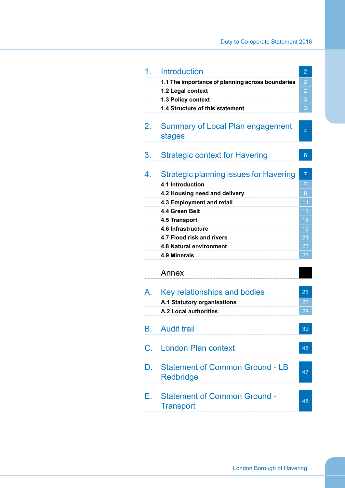| 1.          | <b>Introduction</b>                                        | $\overline{2}$ |
|-------------|------------------------------------------------------------|----------------|
|             | 1.1 The importance of planning across boundaries           | 2              |
|             | 1.2 Legal context                                          | $\overline{c}$ |
|             | 1.3 Policy context                                         | 3              |
|             | 1.4 Structure of this statement                            | 3              |
| $2_{\cdot}$ | <b>Summary of Local Plan engagement</b><br>stages          | 4              |
| 3.          | <b>Strategic context for Havering</b>                      | 6              |
| 4.          | <b>Strategic planning issues for Havering</b>              | $\overline{7}$ |
|             | 4.1 Introduction                                           | 7              |
|             | 4.2 Housing need and delivery                              | 8              |
|             | 4.3 Employment and retail                                  | 11             |
|             | 4.4 Green Belt                                             | 13             |
|             | 4.5 Transport                                              | 15             |
|             | 4.6 Infrastructure                                         | 19             |
|             | 4.7 Flood risk and rivers                                  | 21             |
|             | 4.8 Natural environment                                    | 23             |
|             | 4.9 Minerals                                               | 25             |
|             | Annex                                                      |                |
| A           | Key relationships and bodies                               | 26             |
|             | A.1 Statutory organisations                                | 26             |
|             | <b>A.2 Local authorities</b>                               | 29             |
| В.          | <b>Audit trail</b>                                         | 39             |
|             |                                                            |                |
| C.          | <b>London Plan context</b>                                 | 46             |
| D.          | <b>Statement of Common Ground - LB</b><br><b>Redbridge</b> | 47             |
| Е.          | <b>Statement of Common Ground -</b><br><b>Transport</b>    | 48             |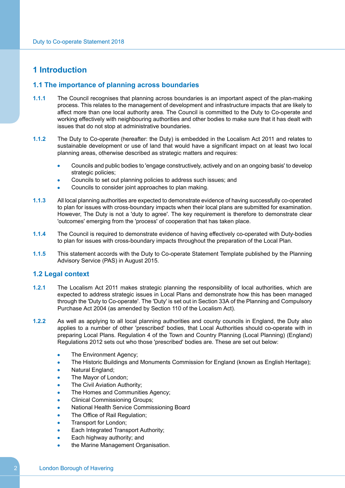## <span id="page-3-1"></span><span id="page-3-0"></span>**1 Introduction**

## **1.1 The importance of planning across boundaries**

- **1.1.1** The Council recognises that planning across boundaries is an important aspect of the plan-making process. This relates to the management of development and infrastructure impacts that are likely to affect more than one local authority area. The Council is committed to the Duty to Co-operate and working effectively with neighbouring authorities and other bodies to make sure that it has dealt with issues that do not stop at administrative boundaries.
- **1.1.2** The Duty to Co-operate (hereafter: the Duty) is embedded in the Localism Act 2011 and relates to sustainable development or use of land that would have a significant impact on at least two local planning areas, otherwise described as strategic matters and requires:
	- Councils and public bodies to 'engage constructively, actively and on an ongoing basis' to develop strategic policies;
	- Councils to set out planning policies to address such issues; and
	- Councils to consider joint approaches to plan making.
- **1.1.3** All local planning authorities are expected to demonstrate evidence of having successfully co-operated to plan for issues with cross-boundary impacts when their local plans are submitted for examination. However, The Duty is not a 'duty to agree'. The key requirement is therefore to demonstrate clear 'outcomes' emerging from the 'process' of cooperation that has taken place.
- **1.1.4** The Council is required to demonstrate evidence of having effectively co-operated with Duty-bodies to plan for issues with cross-boundary impacts throughout the preparation of the Local Plan.
- <span id="page-3-2"></span>**1.1.5** This statement accords with the Duty to Co-operate Statement Template published by the Planning Advisory Service (PAS) in August 2015.

## **1.2 Legal context**

- **1.2.1** The Localism Act 2011 makes strategic planning the responsibility of local authorities, which are expected to address strategic issues in Local Plans and demonstrate how this has been managed through the 'Duty to Co-operate'. The 'Duty' is set out in Section 33A of the Planning and Compulsory Purchase Act 2004 (as amended by Section 110 of the Localism Act).
- **1.2.2** As well as applying to all local planning authorities and county councils in England, the Duty also applies to a number of other 'prescribed' bodies, that Local Authorities should co-operate with in preparing Local Plans. Regulation 4 of the Town and Country Planning (Local Planning) (England) Regulations 2012 sets out who those 'prescribed' bodies are. These are set out below:
	- The Environment Agency;
	- The Historic Buildings and Monuments Commission for England (known as English Heritage);
	- Natural England;
	- The Mayor of London;
	- The Civil Aviation Authority;
	- The Homes and Communities Agency;
	- Clinical Commissioning Groups;
	- National Health Service Commissioning Board
	- The Office of Rail Regulation;
	- Transport for London;
	- Each Integrated Transport Authority;
	- Each highway authority; and
	- the Marine Management Organisation.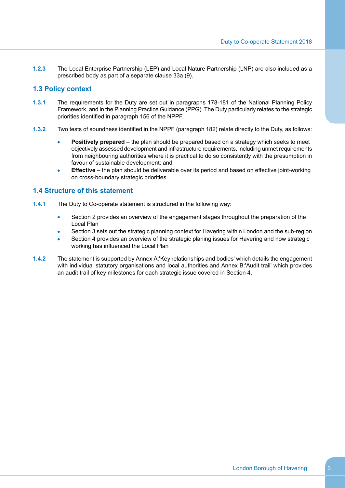**1.2.3** The Local Enterprise Partnership (LEP) and Local Nature Partnership (LNP) are also included as a prescribed body as part of a separate clause 33a (9).

## <span id="page-4-0"></span>**1.3 Policy context**

- **1.3.1** The requirements for the Duty are set out in paragraphs 178-181 of the National Planning Policy Framework, and in the Planning Practice Guidance (PPG). The Duty particularly relates to the strategic priorities identified in paragraph 156 of the NPPF.
- **1.3.2** Two tests of soundness identified in the NPPF (paragraph 182) relate directly to the Duty, as follows:
	- **Positively prepared** the plan should be prepared based on a strategy which seeks to meet objectively assessed development and infrastructure requirements, including unmet requirements from neighbouring authorities where it is practical to do so consistently with the presumption in favour of sustainable development; and
	- **Effective** the plan should be deliverable over its period and based on effective joint-working on cross-boundary strategic priorities.

## <span id="page-4-1"></span>**1.4 Structure of this statement**

- **1.4.1** The Duty to Co-operate statement is structured in the following way:
	- Section 2 provides an overview of the engagement stages throughout the preparation of the Local Plan
	- Section 3 sets out the strategic planning context for Havering within London and the sub-region
	- Section 4 provides an overview of the strategic planing issues for Havering and how strategic working has influenced the Local Plan
- **1.4.2** The statement is supported by Annex A:'Key [relationships](#page-27-0) and bodies' which details the engagement with individual statutory organisations and local authorities and Annex [B:'Audit](#page-40-0) trail' which provides an audit trail of key milestones for each strategic issue covered in Section 4.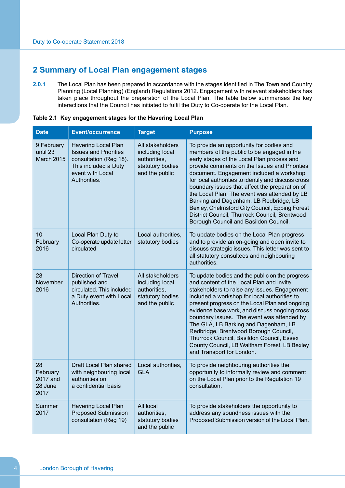# <span id="page-5-0"></span>**2 Summary of Local Plan engagement stages**

**2.0.1** The Local Plan has been prepared in accordance with the stages identified in The Town and Country Planning (Local Planning) (England) Regulations 2012. Engagement with relevant stakeholders has taken place throughout the preparation of the Local Plan. The table below summarises the key interactions that the Council has initiated to fulfil the Duty to Co-operate for the Local Plan.

| <b>Date</b>                                   | <b>Event/occurrence</b>                                                                                                                   | <b>Target</b>                                                                             | <b>Purpose</b>                                                                                                                                                                                                                                                                                                                                                                                                                                                                                                                                                                   |
|-----------------------------------------------|-------------------------------------------------------------------------------------------------------------------------------------------|-------------------------------------------------------------------------------------------|----------------------------------------------------------------------------------------------------------------------------------------------------------------------------------------------------------------------------------------------------------------------------------------------------------------------------------------------------------------------------------------------------------------------------------------------------------------------------------------------------------------------------------------------------------------------------------|
| 9 February<br>until 23<br>March 2015          | Havering Local Plan<br><b>Issues and Priorities</b><br>consultation (Reg 18).<br>This included a Duty<br>event with Local<br>Authorities. | All stakeholders<br>including local<br>authorities,<br>statutory bodies<br>and the public | To provide an opportunity for bodies and<br>members of the public to be engaged in the<br>early stages of the Local Plan process and<br>provide comments on the Issues and Priorities<br>document. Engagement included a workshop<br>for local authorities to identify and discuss cross<br>boundary issues that affect the preparation of<br>the Local Plan. The event was attended by LB<br>Barking and Dagenham, LB Redbridge, LB<br>Bexley, Chelmsford City Council, Epping Forest<br>District Council, Thurrock Council, Brentwood<br>Borough Council and Basildon Council. |
| 10<br>February<br>2016                        | Local Plan Duty to<br>Co-operate update letter<br>circulated                                                                              | Local authorities,<br>statutory bodies                                                    | To update bodies on the Local Plan progress<br>and to provide an on-going and open invite to<br>discuss strategic issues. This letter was sent to<br>all statutory consultees and neighbouring<br>authorities.                                                                                                                                                                                                                                                                                                                                                                   |
| 28<br>November<br>2016                        | <b>Direction of Travel</b><br>published and<br>circulated. This included<br>a Duty event with Local<br>Authorities.                       | All stakeholders<br>including local<br>authorities,<br>statutory bodies<br>and the public | To update bodies and the public on the progress<br>and content of the Local Plan and invite<br>stakeholders to raise any issues. Engagement<br>included a workshop for local authorities to<br>present progress on the Local Plan and ongoing<br>evidence base work, and discuss ongoing cross<br>boundary issues. The event was attended by<br>The GLA, LB Barking and Dagenham, LB<br>Redbridge, Brentwood Borough Council,<br>Thurrock Council, Basildon Council, Essex<br>County Council, LB Waltham Forest, LB Bexley<br>and Transport for London.                          |
| 28<br>February<br>2017 and<br>28 June<br>2017 | Draft Local Plan shared<br>with neighbouring local<br>authorities on<br>a confidential basis                                              | Local authorities,<br><b>GLA</b>                                                          | To provide neighbouring authorities the<br>opportunity to informally review and comment<br>on the Local Plan prior to the Regulation 19<br>consultation.                                                                                                                                                                                                                                                                                                                                                                                                                         |
| Summer<br>2017                                | Havering Local Plan<br><b>Proposed Submission</b><br>consultation (Reg 19)                                                                | All local<br>authorities,<br>statutory bodies<br>and the public                           | To provide stakeholders the opportunity to<br>address any soundness issues with the<br>Proposed Submission version of the Local Plan.                                                                                                                                                                                                                                                                                                                                                                                                                                            |

|  |  |  |  | Table 2.1 Key engagement stages for the Havering Local Plan |
|--|--|--|--|-------------------------------------------------------------|
|--|--|--|--|-------------------------------------------------------------|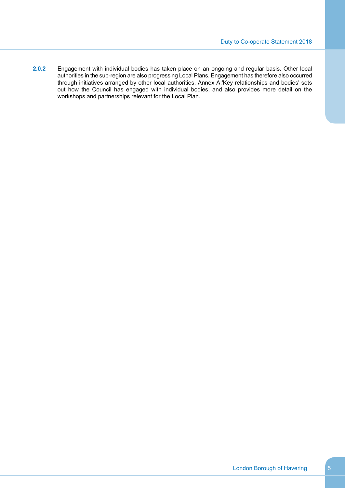**2.0.2** Engagement with individual bodies has taken place on an ongoing and regular basis. Other local authorities in the sub-region are also progressing Local Plans. Engagement has therefore also occurred through initiatives arranged by other local authorities. Annex A:'Key [relationships](#page-27-0) and bodies' sets out how the Council has engaged with individual bodies, and also provides more detail on the workshops and partnerships relevant for the Local Plan.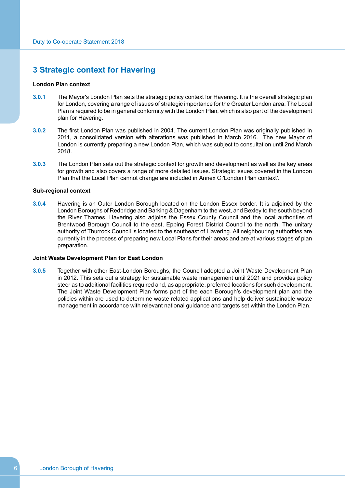## <span id="page-7-0"></span>**3 Strategic context for Havering**

## **London Plan context**

- **3.0.1** The Mayor's London Plan sets the strategic policy context for Havering. It is the overall strategic plan for London, covering a range of issues of strategic importance for the Greater London area. The Local Plan is required to be in general conformity with the London Plan, which is also part of the development plan for Havering.
- **3.0.2** The first London Plan was published in 2004. The current London Plan was originally published in 2011, a consolidated version with alterations was published in March 2016. The new Mayor of London is currently preparing a new London Plan, which was subject to consultation until 2nd March 2018.
- **3.0.3** The London Plan sets out the strategic context for growth and development as well as the key areas for growth and also covers a range of more detailed issues. Strategic issues covered in the London Plan that the Local Plan cannot change are included in Annex [C:'London](#page-47-0) Plan context'.

#### **Sub-regional context**

**3.0.4** Havering is an Outer London Borough located on the London Essex border. It is adjoined by the London Boroughs of Redbridge and Barking & Dagenham to the west, and Bexley to the south beyond the River Thames. Havering also adjoins the Essex County Council and the local authorities of Brentwood Borough Council to the east, Epping Forest District Council to the north. The unitary authority of Thurrock Council is located to the southeast of Havering. All neighbouring authorities are currently in the process of preparing new Local Plans for their areas and are at various stages of plan preparation.

#### **Joint Waste Development Plan for East London**

**3.0.5** Together with other East-London Boroughs, the Council adopted a Joint Waste Development Plan in 2012. This sets out a strategy for sustainable waste management until 2021 and provides policy steer as to additional facilities required and, as appropriate, preferred locations for such development. The Joint Waste Development Plan forms part of the each Borough's development plan and the policies within are used to determine waste related applications and help deliver sustainable waste management in accordance with relevant national guidance and targets set within the London Plan.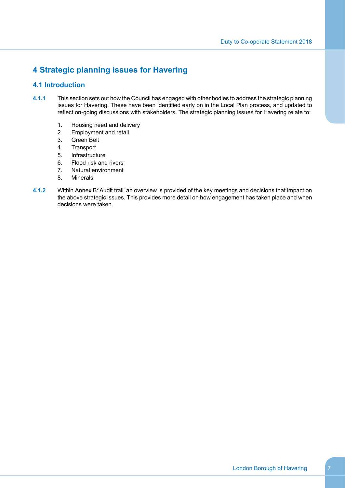# <span id="page-8-1"></span><span id="page-8-0"></span>**4 Strategic planning issues for Havering**

## **4.1 Introduction**

- **4.1.1** This section sets out how the Council has engaged with other bodies to address the strategic planning issues for Havering. These have been identified early on in the Local Plan process, and updated to reflect on-going discussions with stakeholders. The strategic planning issues for Havering relate to:
	- 1. Housing need and delivery
	- 2. Employment and retail
	- 3. Green Belt
	- 4. Transport
	- 5. Infrastructure
	- 6. Flood risk and rivers
	- 7. Natural environment
	- 8. Minerals
- **4.1.2** Within Annex [B:'Audit](#page-40-0) trail' an overview is provided of the key meetings and decisions that impact on the above strategic issues. This provides more detail on how engagement has taken place and when decisions were taken.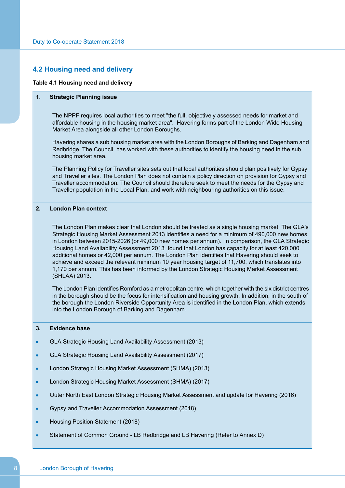## <span id="page-9-0"></span>**4.2 Housing need and delivery**

## **Table 4.1 Housing need and delivery**

#### **1. Strategic Planning issue**

The NPPF requires local authorities to meet "the full, objectively assessed needs for market and affordable housing in the housing market area". Havering forms part of the London Wide Housing Market Area alongside all other London Boroughs.

Havering shares a sub housing market area with the London Boroughs of Barking and Dagenham and Redbridge. The Council has worked with these authorities to identify the housing need in the sub housing market area.

The Planning Policy for Traveller sites sets out that local authorities should plan positively for Gypsy and Traveller sites. The London Plan does not contain a policy direction on provision for Gypsy and Traveller accommodation. The Council should therefore seek to meet the needs for the Gypsy and Traveller population in the Local Plan, and work with neighbouring authorities on this issue.

#### **2. London Plan context**

The London Plan makes clear that London should be treated as a single housing market. The GLA's Strategic Housing Market Assessment 2013 identifies a need for a minimum of 490,000 new homes in London between 2015-2026 (or 49,000 new homes per annum). In comparison, the GLA Strategic Housing Land Availability Assessment 2013 found that London has capacity for at least 420,000 additional homes or 42,000 per annum. The London Plan identifies that Havering should seek to achieve and exceed the relevant minimum 10 year housing target of 11,700, which translates into 1,170 per annum. This has been informed by the London Strategic Housing Market Assessment (SHLAA) 2013.

The London Plan identifies Romford as a metropolitan centre, which together with the six district centres in the borough should be the focus for intensification and housing growth. In addition, in the south of the borough the London Riverside Opportunity Area is identified in the London Plan, which extends into the London Borough of Barking and Dagenham.

## **3. Evidence base**

- GLA Strategic Housing Land Availability Assessment (2013)  $\bullet$
- GLA Strategic Housing Land Availability Assessment (2017)  $\bullet$
- London Strategic Housing Market Assessment (SHMA) (2013)  $\bullet$
- London Strategic Housing Market Assessment (SHMA) (2017)  $\bullet$
- $\bullet$ Outer North East London Strategic Housing Market Assessment and update for Havering (2016)
- Gypsy and Traveller Accommodation Assessment (2018)  $\bullet$
- Housing Position Statement (2018)  $\bullet$
- Statement of Common Ground LB Redbridge and LB Havering (Refer to Annex D)  $\bullet$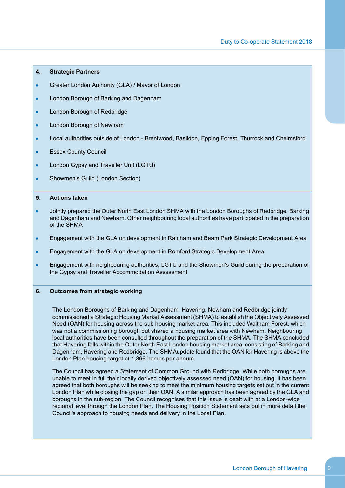## **4. Strategic Partners**

- Greater London Authority (GLA) / Mayor of London
- London Borough of Barking and Dagenham  $\bullet$
- $\bullet$ London Borough of Redbridge
- London Borough of Newham
- Local authorities outside of London Brentwood, Basildon, Epping Forest, Thurrock and Chelmsford  $\bullet$
- Essex County Council ٠
- London Gypsy and Traveller Unit (LGTU)  $\bullet$
- Showmen's Guild (London Section)  $\bullet$

## **5. Actions taken**

- $\bullet$ Jointly prepared the Outer North East London SHMA with the London Boroughs of Redbridge, Barking and Dagenham and Newham. Other neighbouring local authorities have participated in the preparation of the SHMA
- Engagement with the GLA on development in Rainham and Beam Park Strategic Development Area  $\bullet$
- Engagement with the GLA on development in Romford Strategic Development Area  $\bullet$
- $\bullet$ Engagement with neighbouring authorities, LGTU and the Showmen's Guild during the preparation of the Gypsy and Traveller Accommodation Assessment

#### **6. Outcomes from strategic working**

The London Boroughs of Barking and Dagenham, Havering, Newham and Redbridge jointly commissioned a Strategic Housing Market Assessment (SHMA) to establish the Objectively Assessed Need (OAN) for housing across the sub housing market area. This included Waltham Forest, which was not a commissioning borough but shared a housing market area with Newham. Neighbouring local authorities have been consulted throughout the preparation of the SHMA. The SHMA concluded that Havering falls within the Outer North East London housing market area, consisting of Barking and Dagenham, Havering and Redbridge. The SHMAupdate found that the OAN for Havering is above the London Plan housing target at 1,366 homes per annum.

The Council has agreed a Statement of Common Ground with Redbridge. While both boroughs are unable to meet in full their locally derived objectively assessed need (OAN) for housing, it has been agreed that both boroughs will be seeking to meet the minimum housing targets set out in the current London Plan while closing the gap on their OAN. A similar approach has been agreed by the GLA and boroughs in the sub-region. The Council recognises that this issue is dealt with at a London-wide regional level through the London Plan. The Housing Position Statement sets out in more detail the Council's approach to housing needs and delivery in the Local Plan.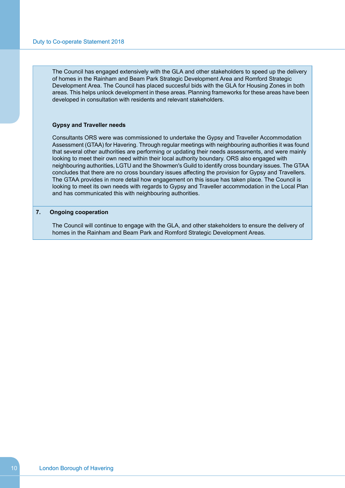The Council has engaged extensively with the GLA and other stakeholders to speed up the delivery of homes in the Rainham and Beam Park Strategic Development Area and Romford Strategic Development Area. The Council has placed succesful bids with the GLA for Housing Zones in both areas. This helps unlock development in these areas. Planning frameworks for these areas have been developed in consultation with residents and relevant stakeholders.

## **Gypsy and Traveller needs**

Consultants ORS were was commissioned to undertake the Gypsy and Traveller Accommodation Assessment (GTAA) for Havering. Through regular meetings with neighbouring authorities it was found that several other authorities are performing or updating their needs assessments, and were mainly looking to meet their own need within their local authority boundary. ORS also engaged with neighbouring authorities, LGTU and the Showmen's Guild to identify cross boundary issues. The GTAA concludes that there are no cross boundary issues affecting the provision for Gypsy and Travellers. The GTAA provides in more detail how engagement on this issue has taken place. The Council is looking to meet its own needs with regards to Gypsy and Traveller accommodation in the Local Plan and has communicated this with neighbouring authorities.

## **7. Ongoing cooperation**

The Council will continue to engage with the GLA, and other stakeholders to ensure the delivery of homes in the Rainham and Beam Park and Romford Strategic Development Areas.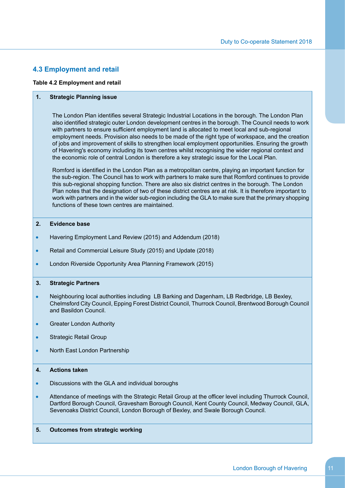## <span id="page-12-0"></span>**4.3 Employment and retail**

#### **Table 4.2 Employment and retail**

#### **1. Strategic Planning issue**

The London Plan identifies several Strategic Industrial Locations in the borough. The London Plan also identified strategic outer London development centres in the borough. The Council needs to work with partners to ensure sufficient employment land is allocated to meet local and sub-regional employment needs. Provision also needs to be made of the right type of workspace, and the creation of jobs and improvement of skills to strengthen local employment opportunities. Ensuring the growth of Havering's economy including its town centres whilst recognising the wider regional context and the economic role of central London is therefore a key strategic issue for the Local Plan.

Romford is identified in the London Plan as a metropolitan centre, playing an important function for the sub-region. The Council has to work with partners to make sure that Romford continues to provide this sub-regional shopping function. There are also six district centres in the borough. The London Plan notes that the designation of two of these district centres are at risk. It is therefore important to work with partners and in the wider sub-region including the GLA to make sure that the primary shopping functions of these town centres are maintained.

## **2. Evidence base**

- Havering Employment Land Review (2015) and Addendum (2018)  $\bullet$
- Retail and Commercial Leisure Study (2015) and Update (2018)  $\bullet$
- $\bullet$ London Riverside Opportunity Area Planning Framework (2015)

#### **3. Strategic Partners**

- Neighbouring local authorities including LB Barking and Dagenham, LB Redbridge, LB Bexley,  $\bullet$ Chelmsford City Council, Epping Forest District Council, Thurrock Council, Brentwood Borough Council and Basildon Council.
- $\bullet$ Greater London Authority
- Strategic Retail Group  $\bullet$
- North East London Partnership  $\bullet$

## **4. Actions taken**

- $\bullet$ Discussions with the GLA and individual boroughs
- Attendance of meetings with the Strategic Retail Group at the officer level including Thurrock Council,  $\bullet$ Dartford Borough Council, Gravesham Borough Council, Kent County Council, Medway Council, GLA, Sevenoaks District Council, London Borough of Bexley, and Swale Borough Council.

## **5. Outcomes from strategic working**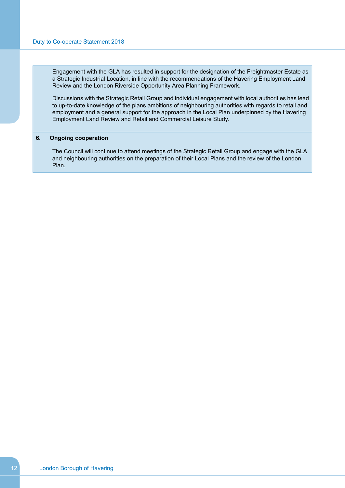Engagement with the GLA has resulted in support for the designation of the Freightmaster Estate as a Strategic Industrial Location, in line with the recommendations of the Havering Employment Land Review and the London Riverside Opportunity Area Planning Framework.

Discussions with the Strategic Retail Group and individual engagement with local authorities has lead to up-to-date knowledge of the plans ambitions of neighbouring authorities with regards to retail and employment and a general support for the approach in the Local Plan underpinned by the Havering Employment Land Review and Retail and Commercial Leisure Study.

#### **6. Ongoing cooperation**

The Council will continue to attend meetings of the Strategic Retail Group and engage with the GLA and neighbouring authorities on the preparation of their Local Plans and the review of the London Plan.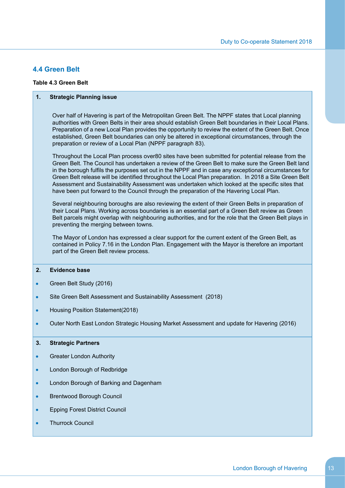## <span id="page-14-0"></span>**4.4 Green Belt**

## **Table 4.3 Green Belt**

## **1. Strategic Planning issue**

Over half of Havering is part of the Metropolitan Green Belt. The NPPF states that Local planning authorities with Green Belts in their area should establish Green Belt boundaries in their Local Plans. Preparation of a new Local Plan provides the opportunity to review the extent of the Green Belt. Once established, Green Belt boundaries can only be altered in exceptional circumstances, through the preparation or review of a Local Plan (NPPF paragraph 83).

Throughout the Local Plan process over80 sites have been submitted for potential release from the Green Belt. The Council has undertaken a review of the Green Belt to make sure the Green Belt land in the borough fulfils the purposes set out in the NPPF and in case any exceptional circumstances for Green Belt release will be identified throughout the Local Plan preparation. In 2018 a Site Green Belt Assessment and Sustainability Assessment was undertaken which looked at the specific sites that have been put forward to the Council through the preparation of the Havering Local Plan.

Several neighbouring boroughs are also reviewing the extent of their Green Belts in preparation of their Local Plans. Working across boundaries is an essential part of a Green Belt review as Green Belt parcels might overlap with neighbouring authorities, and for the role that the Green Belt plays in preventing the merging between towns.

The Mayor of London has expressed a clear support for the current extent of the Green Belt, as contained in Policy 7.16 in the London Plan. Engagement with the Mayor is therefore an important part of the Green Belt review process.

## **2. Evidence base**

- Green Belt Study (2016)  $\bullet$
- Site Green Belt Assessment and Sustainability Assessment (2018)  $\bullet$
- Housing Position Statement(2018)  $\bullet$
- $\bullet$ Outer North East London Strategic Housing Market Assessment and update for Havering (2016)

#### **3. Strategic Partners**

- $\bullet$ Greater London Authority
- $\bullet$ London Borough of Redbridge
- London Borough of Barking and Dagenham  $\bullet$
- $\bullet$ Brentwood Borough Council
- Epping Forest District Council  $\bullet$
- Thurrock Council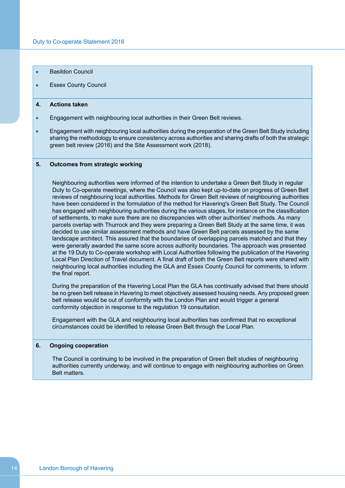- Basildon Council
- Essex County Council  $\bullet$

#### **4. Actions taken**

- Engagement with neighbouring local authorities in their Green Belt reviews.  $\bullet$
- Engagement with neighbouring local authorities during the preparation of the Green Belt Study including  $\bullet$ sharing the methodology to ensure consistency across authorities and sharing drafts of both the strategic green belt review (2016) and the Site Assessment work (2018).

## **5. Outcomes from strategic working**

Neighbouring authorities were informed of the intention to undertake a Green Belt Study in regular Duty to Co-operate meetings, where the Council was also kept up-to-date on progress of Green Belt reviews of neighbouring local authorities. Methods for Green Belt reviews of neighbouring authorities have been considered in the formulation of the method for Havering's Green Belt Study. The Council has engaged with neighbouring authorities during the various stages, for instance on the classification of settlements, to make sure there are no discrepancies with other authorities' methods. As many parcels overlap with Thurrock and they were preparing a Green Belt Study at the same time, it was decided to use similar assessment methods and have Green Belt parcels assessed by the same landscape architect. This assured that the boundaries of overlapping parcels matched and that they were generally awarded the same score across authority boundaries. The approach was presented at the 19 Duty to Co-operate workshop with Local Authorities following the publication of the Havering Local Plan Direction of Travel document. A final draft of both the Green Belt reports were shared with neighbouring local authorities including the GLA and Essex County Council for comments, to inform the final report.

During the preparation of the Havering Local Plan the GLA has continually advised that there should be no green belt release in Havering to meet objectively assessed housing needs. Any proposed green belt release would be out of conformity with the London Plan and would trigger a general conformity objection in response to the regulation 19 consultation.

Engagement with the GLA and neighbouring local authorities has confirmed that no exceptional circumstances could be identified to release Green Belt through the Local Plan.

#### **6. Ongoing cooperation**

The Council is continuing to be involved in the preparation of Green Belt studies of neighbouring authorities currently underway, and will continue to engage with neighbouring authorities on Green Belt matters.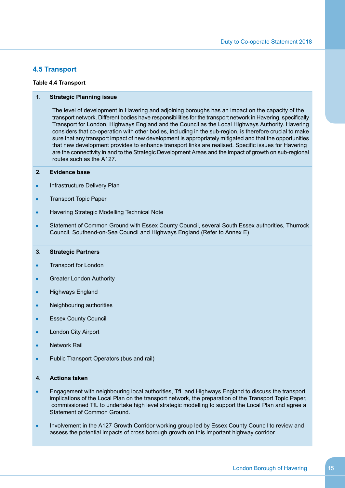## <span id="page-16-0"></span>**4.5 Transport**

## **Table 4.4 Transport**

## **1. Strategic Planning issue**

The level of development in Havering and adjoining boroughs has an impact on the capacity of the transport network. Different bodies have responsibilities for the transport network in Havering, specifically Transport for London, Highways England and the Council as the Local Highways Authority. Havering considers that co-operation with other bodies, including in the sub-region, is therefore crucial to make sure that any transport impact of new development is appropriately mitigated and that the opportunities that new development provides to enhance transport links are realised. Specific issues for Havering are the connectivity in and to the Strategic Development Areas and the impact of growth on sub-regional routes such as the A127.

## **2. Evidence base**

- Infrastructure Delivery Plan  $\bullet$
- $\bullet$ Transport Topic Paper
- $\bullet$ Havering Strategic Modelling Technical Note
- Statement of Common Ground with Essex County Council, several South Essex authorities, Thurrock  $\bullet$ Council, Southend-on-Sea Council and Highways England (Refer to Annex E)

## **3. Strategic Partners**

- $\bullet$ Transport for London
- Greater London Authority  $\bullet$
- Highways England  $\bullet$
- Neighbouring authorities  $\bullet$
- Essex County Council
- London City Airport
- Network Rail
- Public Transport Operators (bus and rail)  $\bullet$

## **4. Actions taken**

- Engagement with neighbouring local authorities, TfL and Highways England to discuss the transport  $\bullet$ implications of the Local Plan on the transport network, the preparation of the Transport Topic Paper, commissioned TfL to undertake high level strategic modelling to support the Local Plan and agree a Statement of Common Ground.
- Involvement in the A127 Growth Corridor working group led by Essex County Council to review and  $\bullet$ assess the potential impacts of cross borough growth on this important highway corridor.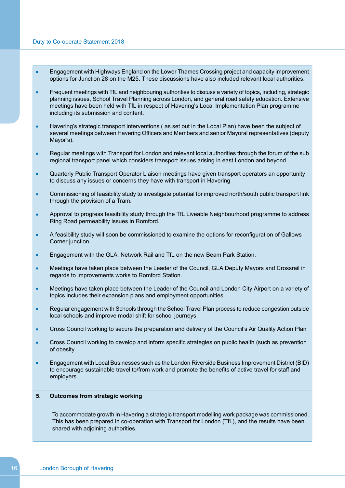- $\bullet$ Engagement with Highways England on the Lower Thames Crossing project and capacity improvement options for Junction 28 on the M25. These discussions have also included relevant local authorities.
- Frequent meetings with TfL and neighbouring authorities to discuss a variety of topics, including, strategic  $\bullet$ planning issues, School Travel Planning across London, and general road safety education. Extensive meetings have been held with TfL in respect of Havering's Local Implementation Plan programme including its submission and content.
- $\bullet$ Havering's strategic transport interventions ( as set out in the Local Plan) have been the subject of several meetings between Havering Officers and Members and senior Mayoral representatives (deputy Mayor's).
- Regular meetings with Transport for London and relevant local authorities through the forum of the sub  $\bullet$ regional transport panel which considers transport issues arising in east London and beyond.
- Quarterly Public Transport Operator Liaison meetings have given transport operators an opportunity  $\bullet$ to discuss any issues or concerns they have with transport in Havering
- Commissioning of feasibility study to investigate potential for improved north/south public transport link  $\bullet$ through the provision of a Tram.
- Approval to progress feasibility study through the TfL Liveable Neighbourhood programme to address  $\bullet$ Ring Road permeability issues in Romford.
- A feasibility study will soon be commissioned to examine the options for reconfiguration of Gallows  $\bullet$ Corner junction.
- $\bullet$ Engagement with the GLA, Network Rail and TfL on the new Beam Park Station.
- $\bullet$ Meetings have taken place between the Leader of the Council, GLA Deputy Mayors and Crossrail in regards to improvements works to Romford Station.
- Meetings have taken place between the Leader of the Council and London City Airport on a variety of  $\bullet$ topics includes their expansion plans and employment opportunities.
- Regular engagement with Schools through the School Travel Plan process to reduce congestion outside  $\bullet$ local schools and improve modal shift for school journeys.
- Cross Council working to secure the preparation and delivery of the Council's Air Quality Action Plan  $\bullet$
- Cross Council working to develop and inform specific strategies on public health (such as prevention  $\bullet$ of obesity
- Engagement with Local Businesses such as the London Riverside Business Improvement District (BID)  $\bullet$ to encourage sustainable travel to/from work and promote the benefits of active travel for staff and employers.

## **5. Outcomes from strategic working**

To accommodate growth in Havering a strategic transport modelling work package was commissioned. This has been prepared in co-operation with Transport for London (TfL), and the results have been shared with adjoining authorities.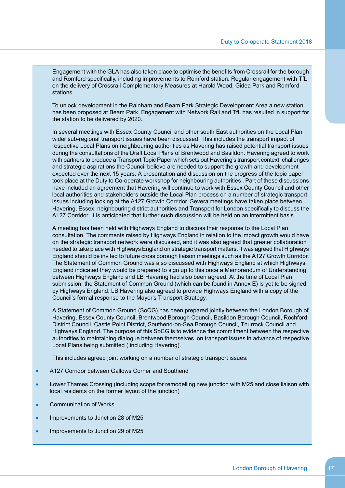Engagement with the GLA has also taken place to optimise the benefits from Crossrail for the borough and Romford specifically, including improvements to Romford station. Regular engagement with TfL on the delivery of Crossrail Complementary Measures at Harold Wood, Gidea Park and Romford stations.

To unlock development in the Rainham and Beam Park Strategic Development Area a new station has been proposed at Beam Park. Engagement with Network Rail and TfL has resulted in support for the station to be delivered by 2020.

In several meetings with Essex County Council and other south East authorities on the Local Plan wider sub-regional transport issues have been discussed. This includes the transport impact of respective Local Plans on neighbouring authorities as Havering has raised potential transport issues during the consultations of the Draft Local Plans of Brentwood and Basildon. Havering agreed to work with partners to produce a Transport Topic Paper which sets out Havering's transport context, challenges and strategic aspirations the Council believe are needed to support the growth and development expected over the next 15 years. A presentation and discussion on the progress of the topic paper took place at the Duty to Co-operate workshop for neighbouring authorities . Part of these discussions have included an agreement that Havering will continue to work with Essex County Council and other local authorities and stakeholders outside the Local Plan process on a number of strategic transport issues including looking at the A127 Growth Corridor. Severalmeetings have taken place between Havering, Essex, neighbouring district authorities and Transport for London specifically to discuss the A127 Corridor. It is anticipated that further such discussion will be held on an intermittent basis.

A meeting has been held with Highways England to discuss their response to the Local Plan consultation. The comments raised by Highways England in relation to the impact growth would have on the strategic transport network were discussed, and it was also agreed that greater collaboration needed to take place with Highways England on strategic transport matters. It was agreed that Highways England should be invited to future cross borough liaison meetings such as the A127 Growth Corridor. The Statement of Common Ground was also discussed with Highways England at which Highways England indicated they would be prepared to sign up to this once a Memorandum of Understanding between Highways England and LB Havering had also been agreed. At the time of Local Plan submission, the Statement of Common Ground (which can be found in Annex E) is yet to be signed by Highways England. LB Havering also agreed to provide Highways England with a copy of the Council's formal response to the Mayor's Transport Strategy.

A Statement of Common Ground (SoCG) has been prepared jointly between the London Borough of Havering, Essex County Council, Brentwood Borough Council, Basildon Borough Council, Rochford District Council, Castle Point District, Southend-on-Sea Borough Council, Thurrock Council and Highways England. The purpose of this SoCG is to evidence the commitment between the respective authorities to maintaining dialogue between themselves on transport issues in advance of respective Local Plans being submitted ( including Havering).

This includes agreed joint working on a number of strategic transport issues:

- A127 Corridor between Gallows Corner and Southend  $\bullet$
- Lower Thames Crossing (including scope for remodelling new junction with M25 and close liaison with  $\bullet$ local residents on the former layout of the junction)
- Communication of Works  $\bullet$
- $\bullet$ Improvements to Junction 28 of M25
- $\bullet$ Improvements to Junction 29 of M25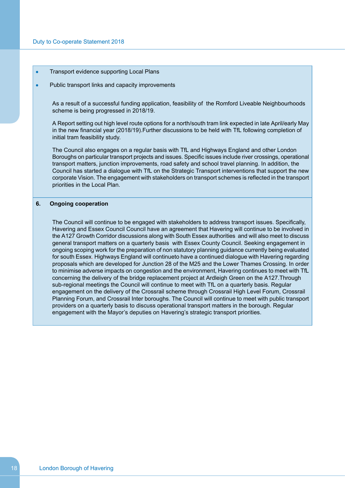$\bullet$ Transport evidence supporting Local Plans

#### Public transport links and capacity improvements  $\bullet$

As a result of a successful funding application, feasibility of the Romford Liveable Neighbourhoods scheme is being progressed in 2018/19.

A Report setting out high level route options for a north/south tram link expected in late April/early May in the new financial year (2018/19).Further discussions to be held with TfL following completion of initial tram feasibility study.

The Council also engages on a regular basis with TfL and Highways England and other London Boroughs on particular transport projects and issues. Specific issues include river crossings, operational transport matters, junction improvements, road safety and school travel planning. In addition, the Council has started a dialogue with TfL on the Strategic Transport interventions that support the new corporate Vision. The engagement with stakeholders on transport schemes is reflected in the transport priorities in the Local Plan.

## **6. Ongoing cooperation**

The Council will continue to be engaged with stakeholders to address transport issues. Specifically, Havering and Essex Council Council have an agreement that Havering will continue to be involved in the A127 Growth Corridor discussions along with South Essex authorities and will also meet to discuss general transport matters on a quarterly basis with Essex County Council. Seeking engagement in ongoing scoping work for the preparation of non statutory planning guidance currently being evaluated for south Essex. Highways England will continueto have a continued dialogue with Havering regarding proposals which are developed for Junction 28 of the M25 and the Lower Thames Crossing. In order to minimise adverse impacts on congestion and the environment, Havering continues to meet with TfL concerning the delivery of the bridge replacement project at Ardleigh Green on the A127.Through sub-regional meetings the Council will continue to meet with TfL on a quarterly basis. Regular engagement on the delivery of the Crossrail scheme through Crossrail High Level Forum, Crossrail Planning Forum, and Crossrail Inter boroughs. The Council will continue to meet with public transport providers on a quarterly basis to discuss operational transport matters in the borough. Regular engagement with the Mayor's deputies on Havering's strategic transport priorities.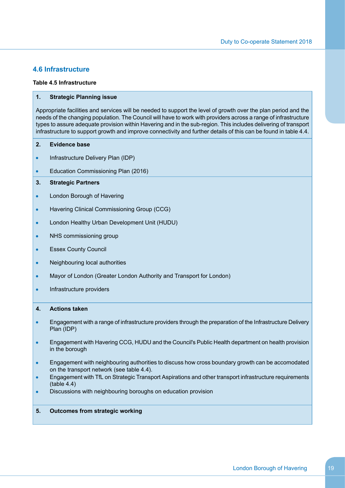## <span id="page-20-0"></span>**4.6 Infrastructure**

#### **Table 4.5 Infrastructure**

## **1. Strategic Planning issue**

Appropriate facilities and services will be needed to support the level of growth over the plan period and the needs of the changing population. The Council will have to work with providers across a range of infrastructure types to assure adequate provision within Havering and in the sub-region. This includes delivering of transport infrastructure to support growth and improve connectivity and further details of this can be found in table 4.4.

- **2. Evidence base**
- $\bullet$ Infrastructure Delivery Plan (IDP)
- $\bullet$ Education Commissioning Plan (2016)

## **3. Strategic Partners**

- London Borough of Havering  $\bullet$
- Havering Clinical Commissioning Group (CCG)  $\bullet$
- London Healthy Urban Development Unit (HUDU)  $\bullet$
- $\bullet$ NHS commissioning group
- $\bullet$ Essex County Council
- Neighbouring local authorities  $\bullet$
- $\bullet$ Mayor of London (Greater London Authority and Transport for London)
- Infrastructure providers  $\bullet$

## **4. Actions taken**

- Engagement with a range of infrastructure providers through the preparation of the Infrastructure Delivery  $\bullet$ Plan (IDP)
- Engagement with Havering CCG, HUDU and the Council's Public Health department on health provision  $\bullet$ in the borough
- Engagement with neighbouring authorities to discuss how cross boundary growth can be accomodated  $\bullet$ on the transport network (see table 4.4).
- Engagement with TfL on Strategic Transport Aspirations and other transport infrastructure requirements  $\bullet$ (table 4.4)
- Discussions with neighbouring boroughs on education provision  $\bullet$

## **5. Outcomes from strategic working**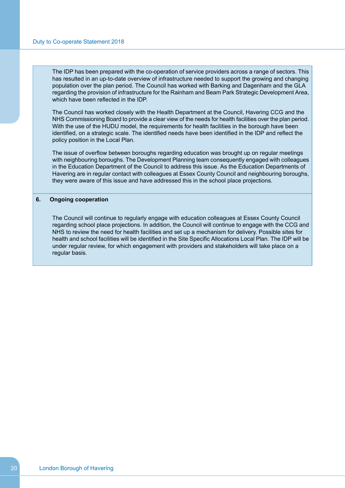The IDP has been prepared with the co-operation of service providers across a range of sectors. This has resulted in an up-to-date overview of infrastructure needed to support the growing and changing population over the plan period. The Council has worked with Barking and Dagenham and the GLA regarding the provision of infrastructure for the Rainham and Beam Park Strategic Development Area, which have been reflected in the IDP.

The Council has worked closely with the Health Department at the Council, Havering CCG and the NHS Commissioning Board to provide a clear view of the needs for health facilities over the plan period. With the use of the HUDU model, the requirements for health facilities in the borough have been identified, on a strategic scale. The identified needs have been identified in the IDP and reflect the policy position in the Local Plan.

The issue of overflow between boroughs regarding education was brought up on regular meetings with neighbouring boroughs. The Development Planning team consequently engaged with colleagues in the Education Department of the Council to address this issue. As the Education Departments of Havering are in regular contact with colleagues at Essex County Council and neighbouring boroughs, they were aware of this issue and have addressed this in the school place projections.

#### **6. Ongoing cooperation**

The Council will continue to regularly engage with education colleagues at Essex County Council regarding school place projections. In addition, the Council will continue to engage with the CCG and NHS to review the need for health facilities and set up a mechanism for delivery. Possible sites for health and school facilities will be identified in the Site Specific Allocations Local Plan. The IDP will be under regular review, for which engagement with providers and stakeholders will take place on a regular basis.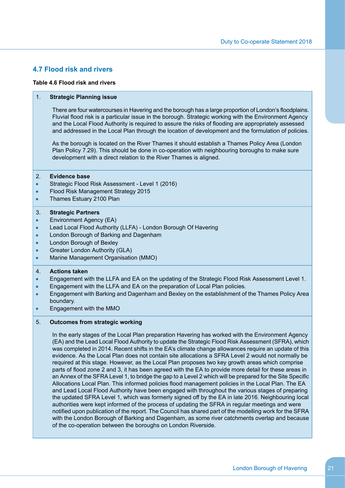## <span id="page-22-0"></span>**4.7 Flood risk and rivers**

#### **Table 4.6 Flood risk and rivers**

#### 1. **Strategic Planning issue**

There are four watercourses in Havering and the borough has a large proportion of London's floodplains. Fluvial flood risk is a particular issue in the borough. Strategic working with the Environment Agency and the Local Flood Authority is required to assure the risks of flooding are appropriately assessed and addressed in the Local Plan through the location of development and the formulation of policies.

As the borough is located on the River Thames it should establish a Thames Policy Area (London Plan Policy 7.29). This should be done in co-operation with neighbouring boroughs to make sure development with a direct relation to the River Thames is aligned.

## 2. **Evidence base**

- $\bullet$ Strategic Flood Risk Assessment - Level 1 (2016)
- Flood Risk Management Strategy 2015  $\bullet$
- Thames Estuary 2100 Plan  $\bullet$

#### 3. **Strategic Partners**

- Environment Agency (EA)  $\bullet$
- Lead Local Flood Authority (LLFA) London Borough Of Havering  $\bullet$
- London Borough of Barking and Dagenham  $\bullet$
- London Borough of Bexley  $\bullet$
- Greater London Authority (GLA)  $\bullet$
- Marine Management Organisation (MMO)  $\bullet$

#### 4. **Actions taken**

- Engagement with the LLFA and EA on the updating of the Strategic Flood Risk Assessment Level 1.  $\bullet$
- Engagement with the LLFA and EA on the preparation of Local Plan policies.  $\bullet$
- Engagement with Barking and Dagenham and Bexley on the establishment of the Thames Policy Area  $\bullet$ boundary.
- Engagement with the MMO  $\bullet$

#### 5. **Outcomes from strategic working**

In the early stages of the Local Plan preparation Havering has worked with the Environment Agency (EA) and the Lead Local Flood Authority to update the Strategic Flood Risk Assessment (SFRA), which was completed in 2014. Recent shifts in the EA's climate change allowances require an update of this evidence. As the Local Plan does not contain site allocations a SFRA Level 2 would not normally be required at this stage. However, as the Local Plan proposes two key growth areas which comprise parts of flood zone 2 and 3, it has been agreed with the EA to provide more detail for these areas in an Annex of the SFRA Level 1, to bridge the gap to a Level 2 which will be prepared for the Site Specific Allocations Local Plan. This informed policies flood management policies in the Local Plan. The EA and Lead Local Flood Authority have been engaged with throughout the various stages of preparing the updated SFRA Level 1, which was formerly signed off by the EA in late 2016. Neighbouring local authorities were kept informed of the process of updating the SFRA in regular meetings and were notified upon publication of the report. The Council has shared part of the modelling work for the SFRA with the London Borough of Barking and Dagenham, as some river catchments overlap and because of the co-operation between the boroughs on London Riverside.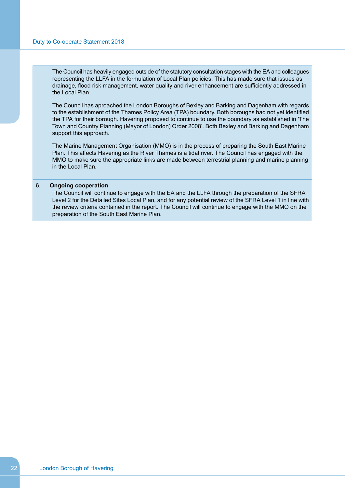The Council has heavily engaged outside of the statutory consultation stages with the EA and colleagues representing the LLFA in the formulation of Local Plan policies. This has made sure that issues as drainage, flood risk management, water quality and river enhancement are sufficiently addressed in the Local Plan.

The Council has aproached the London Boroughs of Bexley and Barking and Dagenham with regards to the establishment of the Thames Policy Area (TPA) boundary. Both boroughs had not yet identified the TPA for their borough. Havering proposed to continue to use the boundary as established in 'The Town and Country Planning (Mayor of London) Order 2008'. Both Bexley and Barking and Dagenham support this approach.

The Marine Management Organisation (MMO) is in the process of preparing the South East Marine Plan. This affects Havering as the River Thames is a tidal river. The Council has engaged with the MMO to make sure the appropriate links are made between terrestrial planning and marine planning in the Local Plan.

## 6. **Ongoing cooperation**

The Council will continue to engage with the EA and the LLFA through the preparation of the SFRA Level 2 for the Detailed Sites Local Plan, and for any potential review of the SFRA Level 1 in line with the review criteria contained in the report. The Council will continue to engage with the MMO on the preparation of the South East Marine Plan.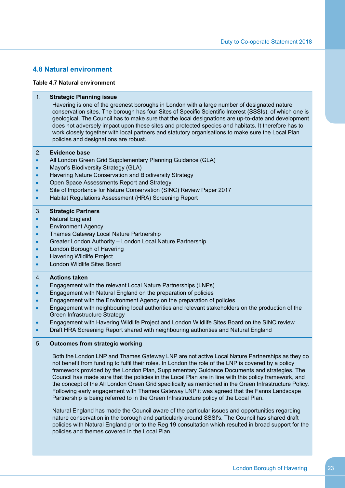## <span id="page-24-0"></span>**4.8 Natural environment**

#### **Table 4.7 Natural environment**

#### 1. **Strategic Planning issue** Havering is one of the greenest boroughs in London with a large number of designated nature conservation sites. The borough has four Sites of Specific Scientific Interest (SSSIs), of which one is geological. The Council has to make sure that the local designations are up-to-date and development does not adversely impact upon these sites and protected species and habitats. It therefore has to work closely together with local partners and statutory organisations to make sure the Local Plan policies and designations are robust. 2. **Evidence base** All London Green Grid Supplementary Planning Guidance (GLA)  $\bullet$  $\bullet$ Mayor's Biodiversity Strategy (GLA) Havering Nature Conservation and Biodiversity Strategy  $\bullet$ Open Space Assessments Report and Strategy  $\bullet$ Site of Importance for Nature Conservation (SINC) Review Paper 2017  $\bullet$ Habitat Regulations Assessment (HRA) Screening Report  $\bullet$ 3. **Strategic Partners** Natural England  $\bullet$  $\bullet$ Environment Agency Thames Gateway Local Nature Partnership  $\bullet$ Greater London Authority – London Local Nature Partnership  $\bullet$ London Borough of Havering  $\bullet$

- Havering Wildlife Project  $\bullet$
- London Wildlife Sites Board  $\bullet$

## 4. **Actions taken**

- Engagement with the relevant Local Nature Partnerships (LNPs)  $\bullet$
- Engagement with Natural England on the preparation of policies  $\bullet$
- Engagement with the Environment Agency on the preparation of policies  $\bullet$
- Engagement with neighbouring local authorities and relevant stakeholders on the production of the  $\bullet$ Green Infrastructure Strategy
- Engagement with Havering Wildlife Project and London Wildlife Sites Board on the SINC review  $\bullet$
- Draft HRA Screening Report shared with neighbouring authorities and Natural England  $\bullet$

## 5. **Outcomes from strategic working**

Both the London LNP and Thames Gateway LNP are not active Local Nature Partnerships as they do not benefit from funding to fulfil their roles. In London the role of the LNP is covered by a policy framework provided by the London Plan, Supplementary Guidance Documents and strategies. The Council has made sure that the policies in the Local Plan are in line with this policy framework, and the concept of the All London Green Grid specifically as mentioned in the Green Infrastructure Policy. Following early engagement with Thames Gateway LNP it was agreed that the Fanns Landscape Partnership is being referred to in the Green Infrastructure policy of the Local Plan.

Natural England has made the Council aware of the particular issues and opportunities regarding nature conservation in the borough and particularly around SSSI's. The Council has shared draft policies with Natural England prior to the Reg 19 consultation which resulted in broad support for the policies and themes covered in the Local Plan.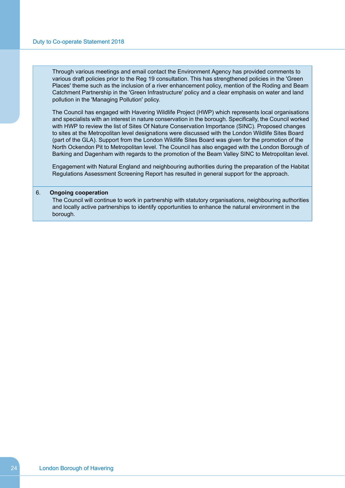Through various meetings and email contact the Environment Agency has provided comments to various draft policies prior to the Reg 19 consultation. This has strengthened policies in the 'Green Places' theme such as the inclusion of a river enhancement policy, mention of the Roding and Beam Catchment Partnership in the 'Green Infrastructure' policy and a clear emphasis on water and land pollution in the 'Managing Pollution' policy.

The Council has engaged with Havering Wildlife Project (HWP) which represents local organisations and specialists with an interest in nature conservation in the borough. Specifically, the Council worked with HWP to review the list of Sites Of Nature Conservation Importance (SINC). Proposed changes to sites at the Metropolitan level designations were discussed with the London Wildlife Sites Board (part of the GLA). Support from the London Wildlife Sites Board was given for the promotion of the North Ockendon Pit to Metropolitan level. The Council has also engaged with the London Borough of Barking and Dagenham with regards to the promotion of the Beam Valley SINC to Metropolitan level.

Engagement with Natural England and neighbouring authorities during the preparation of the Habitat Regulations Assessment Screening Report has resulted in general support for the approach.

## 6. **Ongoing cooperation**

The Council will continue to work in partnership with statutory organisations, neighbouring authorities and locally active partnerships to identify opportunities to enhance the natural environment in the borough.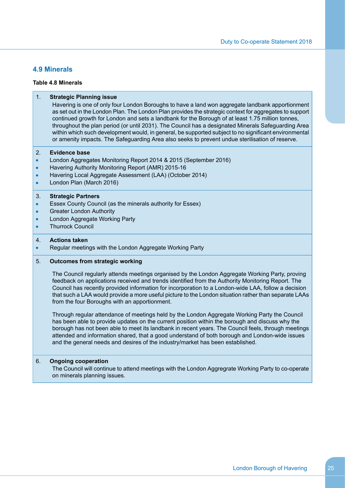## <span id="page-26-0"></span>**4.9 Minerals**

## **Table 4.8 Minerals**

| 1.                                                     | <b>Strategic Planning issue</b><br>Havering is one of only four London Boroughs to have a land won aggregate landbank apportionment<br>as set out in the London Plan. The London Plan provides the strategic context for aggregates to support<br>continued growth for London and sets a landbank for the Borough of at least 1.75 million tonnes,<br>throughout the plan period (or until 2031). The Council has a designated Minerals Safeguarding Area<br>within which such development would, in general, be supported subject to no significant environmental<br>or amenity impacts. The Safeguarding Area also seeks to prevent undue sterilisation of reserve.                                                                                                                                                                                                                                                                                                                                          |
|--------------------------------------------------------|----------------------------------------------------------------------------------------------------------------------------------------------------------------------------------------------------------------------------------------------------------------------------------------------------------------------------------------------------------------------------------------------------------------------------------------------------------------------------------------------------------------------------------------------------------------------------------------------------------------------------------------------------------------------------------------------------------------------------------------------------------------------------------------------------------------------------------------------------------------------------------------------------------------------------------------------------------------------------------------------------------------|
| 2.<br>$\bullet$<br>$\bullet$<br>$\bullet$<br>$\bullet$ | <b>Evidence base</b><br>London Aggregates Monitoring Report 2014 & 2015 (September 2016)<br>Havering Authority Monitoring Report (AMR) 2015-16<br>Havering Local Aggregate Assessment (LAA) (October 2014)<br>London Plan (March 2016)                                                                                                                                                                                                                                                                                                                                                                                                                                                                                                                                                                                                                                                                                                                                                                         |
| 3.<br>$\bullet$<br>$\bullet$<br>$\bullet$<br>$\bullet$ | <b>Strategic Partners</b><br>Essex County Council (as the minerals authority for Essex)<br><b>Greater London Authority</b><br>London Aggregate Working Party<br><b>Thurrock Council</b>                                                                                                                                                                                                                                                                                                                                                                                                                                                                                                                                                                                                                                                                                                                                                                                                                        |
| 4.<br>$\bullet$                                        | <b>Actions taken</b><br>Regular meetings with the London Aggregate Working Party                                                                                                                                                                                                                                                                                                                                                                                                                                                                                                                                                                                                                                                                                                                                                                                                                                                                                                                               |
|                                                        |                                                                                                                                                                                                                                                                                                                                                                                                                                                                                                                                                                                                                                                                                                                                                                                                                                                                                                                                                                                                                |
| 5.                                                     | <b>Outcomes from strategic working</b><br>The Council regularly attends meetings organised by the London Aggregate Working Party, proving<br>feedback on applications received and trends identified from the Authority Monitoring Report. The<br>Council has recently provided information for incorporation to a London-wide LAA, follow a decision<br>that such a LAA would provide a more useful picture to the London situation rather than separate LAAs<br>from the four Boroughs with an apportionment.<br>Through regular attendance of meetings held by the London Aggregate Working Party the Council<br>has been able to provide updates on the current position within the borough and discuss why the<br>borough has not been able to meet its landbank in recent years. The Council feels, through meetings<br>attended and information shared, that a good understand of both borough and London-wide issues<br>and the general needs and desires of the industry/market has been established. |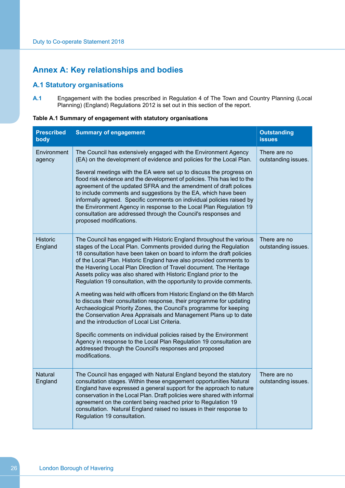# <span id="page-27-0"></span>**Annex A: Key relationships and bodies**

## <span id="page-27-1"></span>**A.1 Statutory organisations**

**A.1** Engagement with the bodies prescribed in Regulation 4 of The Town and Country Planning (Local Planning) (England) Regulations 2012 is set out in this section of the report.

**Table A.1 Summary of engagement with statutory organisations**

| <b>Prescribed</b><br>body  | <b>Summary of engagement</b>                                                                                                                                                                                                                                                                                                                                                                                                                                                                                                                                                                                                                                                                                                                                                                                                                                                                                                                                                                                                                                                      | <b>Outstanding</b><br><b>issues</b> |
|----------------------------|-----------------------------------------------------------------------------------------------------------------------------------------------------------------------------------------------------------------------------------------------------------------------------------------------------------------------------------------------------------------------------------------------------------------------------------------------------------------------------------------------------------------------------------------------------------------------------------------------------------------------------------------------------------------------------------------------------------------------------------------------------------------------------------------------------------------------------------------------------------------------------------------------------------------------------------------------------------------------------------------------------------------------------------------------------------------------------------|-------------------------------------|
| Environment<br>agency      | The Council has extensively engaged with the Environment Agency<br>(EA) on the development of evidence and policies for the Local Plan.<br>Several meetings with the EA were set up to discuss the progress on<br>flood risk evidence and the development of policies. This has led to the<br>agreement of the updated SFRA and the amendment of draft polices<br>to include comments and suggestions by the EA, which have been<br>informally agreed. Specific comments on individual policies raised by<br>the Environment Agency in response to the Local Plan Regulation 19<br>consultation are addressed through the Council's responses and<br>proposed modifications.                                                                                                                                                                                                                                                                                                                                                                                                      | There are no<br>outstanding issues. |
| <b>Historic</b><br>England | The Council has engaged with Historic England throughout the various<br>stages of the Local Plan. Comments provided during the Regulation<br>18 consultation have been taken on board to inform the draft policies<br>of the Local Plan. Historic England have also provided comments to<br>the Havering Local Plan Direction of Travel document. The Heritage<br>Assets policy was also shared with Historic England prior to the<br>Regulation 19 consultation, with the opportunity to provide comments.<br>A meeting was held with officers from Historic England on the 6th March<br>to discuss their consultation response, their programme for updating<br>Archaeological Priority Zones, the Council's programme for keeping<br>the Conservation Area Appraisals and Management Plans up to date<br>and the introduction of Local List Criteria.<br>Specific comments on individual policies raised by the Environment<br>Agency in response to the Local Plan Regulation 19 consultation are<br>addressed through the Council's responses and proposed<br>modifications. | There are no<br>outstanding issues. |
| <b>Natural</b><br>England  | The Council has engaged with Natural England beyond the statutory<br>consultation stages. Within these engagement opportunities Natural<br>England have expressed a general support for the approach to nature<br>conservation in the Local Plan. Draft policies were shared with informal<br>agreement on the content being reached prior to Regulation 19<br>consultation. Natural England raised no issues in their response to<br>Regulation 19 consultation.                                                                                                                                                                                                                                                                                                                                                                                                                                                                                                                                                                                                                 | There are no<br>outstanding issues. |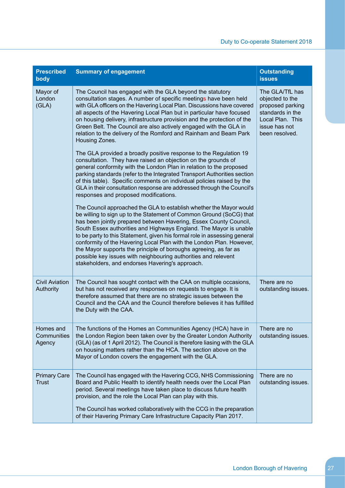| <b>Prescribed</b><br>body           | <b>Summary of engagement</b>                                                                                                                                                                                                                                                                                                                                                                                                                                                                                                                                                                                                       | <b>Outstanding</b><br><b>issues</b>                                                                                               |
|-------------------------------------|------------------------------------------------------------------------------------------------------------------------------------------------------------------------------------------------------------------------------------------------------------------------------------------------------------------------------------------------------------------------------------------------------------------------------------------------------------------------------------------------------------------------------------------------------------------------------------------------------------------------------------|-----------------------------------------------------------------------------------------------------------------------------------|
| Mayor of<br>London<br>(GLA)         | The Council has engaged with the GLA beyond the statutory<br>consultation stages. A number of specific meetings have been held<br>with GLA officers on the Havering Local Plan. Discussions have covered<br>all aspects of the Havering Local Plan but in particular have focused<br>on housing delivery, infrastructure provision and the protection of the<br>Green Belt. The Council are also actively engaged with the GLA in<br>relation to the delivery of the Romford and Rainham and Beam Park<br>Housing Zones.                                                                                                           | The GLA/TfL has<br>objected to the<br>proposed parking<br>standards in the<br>Local Plan. This<br>issue has not<br>been resolved. |
|                                     | The GLA provided a broadly positive response to the Regulation 19<br>consultation. They have raised an objection on the grounds of<br>general conformity with the London Plan in relation to the proposed<br>parking standards (refer to the Integrated Transport Authorities section<br>of this table). Specific comments on individual policies raised by the<br>GLA in their consultation response are addressed through the Council's<br>responses and proposed modifications.                                                                                                                                                 |                                                                                                                                   |
|                                     | The Council approached the GLA to establish whether the Mayor would<br>be willing to sign up to the Statement of Common Ground (SoCG) that<br>has been jointly prepared between Havering, Essex County Council,<br>South Essex authorities and Highways England. The Mayor is unable<br>to be party to this Statement, given his formal role in assessing general<br>conformity of the Havering Local Plan with the London Plan. However,<br>the Mayor supports the principle of boroughs agreeing, as far as<br>possible key issues with neighbouring authorities and relevent<br>stakeholders, and endorses Havering's approach. |                                                                                                                                   |
| <b>Civil Aviation</b><br>Authority  | The Council has sought contact with the CAA on multiple occasions,<br>but has not received any responses on requests to engage. It is<br>therefore assumed that there are no strategic issues between the<br>Council and the CAA and the Council therefore believes it has fulfilled<br>the Duty with the CAA.                                                                                                                                                                                                                                                                                                                     | There are no<br>outstanding issues.                                                                                               |
| Homes and<br>Communities<br>Agency  | The functions of the Homes an Communities Agency (HCA) have in<br>the London Region been taken over by the Greater London Authority<br>(GLA) (as of 1 April 2012). The Council is therefore liasing with the GLA<br>on housing matters rather than the HCA. The section above on the<br>Mayor of London covers the engagement with the GLA.                                                                                                                                                                                                                                                                                        | There are no<br>outstanding issues.                                                                                               |
| <b>Primary Care</b><br><b>Trust</b> | The Council has engaged with the Havering CCG, NHS Commissioning<br>Board and Public Health to identify health needs over the Local Plan<br>period. Several meetings have taken place to discuss future health<br>provision, and the role the Local Plan can play with this.<br>The Council has worked collaboratively with the CCG in the preparation<br>of their Havering Primary Care Infrastructure Capacity Plan 2017.                                                                                                                                                                                                        | There are no<br>outstanding issues.                                                                                               |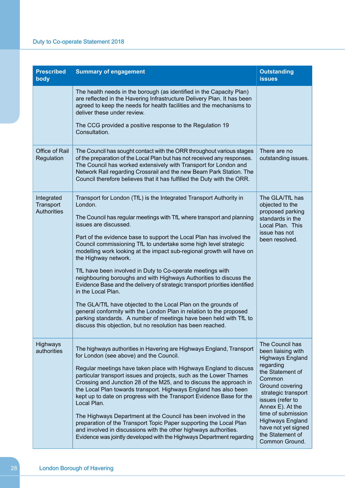| <b>Prescribed</b><br>body                     | <b>Summary of engagement</b>                                                                                                                                                                                                                                                                                                                                                                                                                                                                                                                                                                                                                                                                                                                                                                                                                                                                                                                         | <b>Outstanding</b><br><b>issues</b>                                                                                                                                                                                                                                                                         |
|-----------------------------------------------|------------------------------------------------------------------------------------------------------------------------------------------------------------------------------------------------------------------------------------------------------------------------------------------------------------------------------------------------------------------------------------------------------------------------------------------------------------------------------------------------------------------------------------------------------------------------------------------------------------------------------------------------------------------------------------------------------------------------------------------------------------------------------------------------------------------------------------------------------------------------------------------------------------------------------------------------------|-------------------------------------------------------------------------------------------------------------------------------------------------------------------------------------------------------------------------------------------------------------------------------------------------------------|
|                                               | The health needs in the borough (as identified in the Capacity Plan)<br>are reflected in the Havering Infrastructure Delivery Plan. It has been<br>agreed to keep the needs for health facilities and the mechanisms to<br>deliver these under review.                                                                                                                                                                                                                                                                                                                                                                                                                                                                                                                                                                                                                                                                                               |                                                                                                                                                                                                                                                                                                             |
|                                               | The CCG provided a positive response to the Regulation 19<br>Consultation.                                                                                                                                                                                                                                                                                                                                                                                                                                                                                                                                                                                                                                                                                                                                                                                                                                                                           |                                                                                                                                                                                                                                                                                                             |
| Office of Rail<br>Regulation                  | The Council has sought contact with the ORR throughout various stages<br>of the preparation of the Local Plan but has not received any responses.<br>The Council has worked extensively with Transport for London and<br>Network Rail regarding Crossrail and the new Beam Park Station. The<br>Council therefore believes that it has fulfilled the Duty with the ORR.                                                                                                                                                                                                                                                                                                                                                                                                                                                                                                                                                                              | There are no<br>outstanding issues.                                                                                                                                                                                                                                                                         |
| Integrated<br>Transport<br><b>Authorities</b> | Transport for London (TfL) is the Integrated Transport Authority in<br>London.<br>The Council has regular meetings with TfL where transport and planning<br>issues are discussed.<br>Part of the evidence base to support the Local Plan has involved the<br>Council commissioning TfL to undertake some high level strategic<br>modelling work looking at the impact sub-regional growth will have on<br>the Highway network.<br>TfL have been involved in Duty to Co-operate meetings with<br>neighbouring boroughs and with Highways Authorities to discuss the<br>Evidence Base and the delivery of strategic transport priorities identified<br>in the Local Plan.<br>The GLA/TfL have objected to the Local Plan on the grounds of<br>general conformity with the London Plan in relation to the proposed<br>parking standards. A number of meetings have been held with TfL to<br>discuss this objection, but no resolution has been reached. | The GLA/TfL has<br>objected to the<br>proposed parking<br>standards in the<br>Local Plan. This<br>issue has not<br>been resolved.                                                                                                                                                                           |
| <b>Highways</b><br>authorities                | The highways authorities in Havering are Highways England, Transport<br>for London (see above) and the Council.<br>Regular meetings have taken place with Highways England to discuss<br>particular transport issues and projects, such as the Lower Thames<br>Crossing and Junction 28 of the M25, and to discuss the approach in<br>the Local Plan towards transport. Highways England has also been<br>kept up to date on progress with the Transport Evidence Base for the<br>Local Plan.<br>The Highways Department at the Council has been involved in the<br>preparation of the Transport Topic Paper supporting the Local Plan<br>and involved in discussions with the other highways authorities.<br>Evidence was jointly developed with the Highways Department regarding                                                                                                                                                                  | The Council has<br>been liaising with<br><b>Highways England</b><br>regarding<br>the Statement of<br>Common<br>Ground covering<br>strategic transport<br>issues (refer to<br>Annex E). At the<br>time of submission<br><b>Highways England</b><br>have not yet signed<br>the Statement of<br>Common Ground. |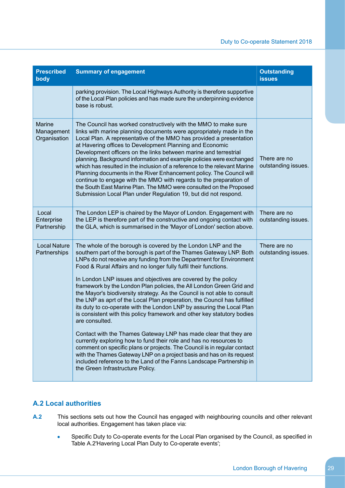| <b>Prescribed</b><br>body                   | <b>Summary of engagement</b>                                                                                                                                                                                                                                                                                                                                                                                                                                                                                                                                                                                                                                                                                                                                                                                                                                                                                                                                                                                                                                                                                                                                       | <b>Outstanding</b><br><b>issues</b> |
|---------------------------------------------|--------------------------------------------------------------------------------------------------------------------------------------------------------------------------------------------------------------------------------------------------------------------------------------------------------------------------------------------------------------------------------------------------------------------------------------------------------------------------------------------------------------------------------------------------------------------------------------------------------------------------------------------------------------------------------------------------------------------------------------------------------------------------------------------------------------------------------------------------------------------------------------------------------------------------------------------------------------------------------------------------------------------------------------------------------------------------------------------------------------------------------------------------------------------|-------------------------------------|
|                                             | parking provision. The Local Highways Authority is therefore supportive<br>of the Local Plan policies and has made sure the underpinning evidence<br>base is robust.                                                                                                                                                                                                                                                                                                                                                                                                                                                                                                                                                                                                                                                                                                                                                                                                                                                                                                                                                                                               |                                     |
| <b>Marine</b><br>Management<br>Organisation | The Council has worked constructively with the MMO to make sure<br>links with marine planning documents were appropriately made in the<br>Local Plan. A representative of the MMO has provided a presentation<br>at Havering offices to Development Planning and Economic<br>Development officers on the links between marine and terrestrial<br>planning. Background information and example policies were exchanged<br>which has resulted in the inclusion of a reference to the relevant Marine<br>Planning documents in the River Enhancement policy. The Council will<br>continue to engage with the MMO with regards to the preparation of<br>the South East Marine Plan. The MMO were consulted on the Proposed<br>Submission Local Plan under Regulation 19, but did not respond.                                                                                                                                                                                                                                                                                                                                                                          | There are no<br>outstanding issues. |
| Local<br>Enterprise<br>Partnership          | The London LEP is chaired by the Mayor of London. Engagement with<br>the LEP is therefore part of the constructive and ongoing contact with<br>the GLA, which is summarised in the 'Mayor of London' section above.                                                                                                                                                                                                                                                                                                                                                                                                                                                                                                                                                                                                                                                                                                                                                                                                                                                                                                                                                | There are no<br>outstanding issues. |
| <b>Local Nature</b><br>Partnerships         | The whole of the borough is covered by the London LNP and the<br>southern part of the borough is part of the Thames Gateway LNP. Both<br>LNPs do not receive any funding from the Department for Environment<br>Food & Rural Affairs and no longer fully fulfil their functions.<br>In London LNP issues and objectives are covered by the policy<br>framework by the London Plan policies, the All London Green Grid and<br>the Mayor's biodiversity strategy. As the Council is not able to consult<br>the LNP as aprt of the Local Plan preperation, the Council has fulfilled<br>its duty to co-operate with the London LNP by assuring the Local Plan<br>is consistent with this policy framework and other key statutory bodies<br>are consulted.<br>Contact with the Thames Gateway LNP has made clear that they are<br>currently exploring how to fund their role and has no resources to<br>comment on specific plans or projects. The Council is in regular contact<br>with the Thames Gateway LNP on a project basis and has on its request<br>included reference to the Land of the Fanns Landscape Partnership in<br>the Green Infrastructure Policy. | There are no<br>outstanding issues. |

## <span id="page-30-0"></span>**A.2 Local authorities**

- **A.2** This sections sets out how the Council has engaged with neighbouring councils and other relevant local authorities. Engagement has taken place via:
	- Specific Duty to Co-operate events for the Local Plan organised by the Council, as specified in  $\bullet$ Table [A.2'Havering](#page-31-0) Local Plan Duty to Co-operate events';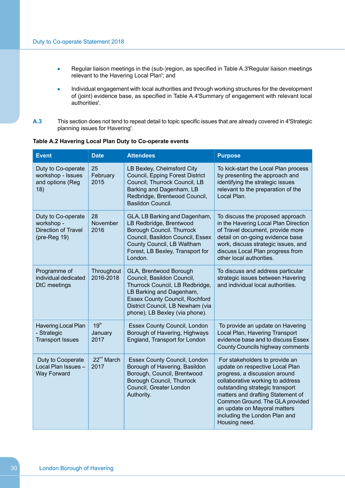- Regular liaison meetings in the (sub-)region, as specified in Table [A.3'Regular](#page-32-0) liaison meetings  $\bullet$ relevant to the [Havering](#page-32-0) Local Plan'; and
- Individual engagement with local authorities and through working structures for the development ä of (joint) evidence base, as specified in Table [A.4'Summary](#page-32-1) of engagement with relevant local [authorities'](#page-32-1).
- **A.3** This section does not tend to repeat detail to topic specific issues that are already covered in [4'Strategic](#page-8-0) planning issues for [Havering'](#page-8-0).

|  | Table A.2 Havering Local Plan Duty to Co-operate events |  |
|--|---------------------------------------------------------|--|
|  | And the second control of the second                    |  |

<span id="page-31-0"></span>

| <b>Event</b>                                                                      | <b>Date</b>                         | <b>Attendees</b>                                                                                                                                                                                                                   | <b>Purpose</b>                                                                                                                                                                                                                                                                                                                      |
|-----------------------------------------------------------------------------------|-------------------------------------|------------------------------------------------------------------------------------------------------------------------------------------------------------------------------------------------------------------------------------|-------------------------------------------------------------------------------------------------------------------------------------------------------------------------------------------------------------------------------------------------------------------------------------------------------------------------------------|
| Duty to Co-operate<br>workshop - Issues<br>and options (Reg<br>18)                | 25<br>February<br>2015              | LB Bexley, Chelmsford City<br>Council, Epping Forest District<br>Council, Thurrock Council, LB<br>Barking and Dagenham, LB<br>Redbridge, Brentwood Council,<br>Basildon Council.                                                   | To kick-start the Local Plan process<br>by presenting the approach and<br>identifying the strategic issues<br>relevant to the preparation of the<br>Local Plan.                                                                                                                                                                     |
| Duty to Co-operate<br>workshop -<br>Direction of Travel<br>$(\text{pre-Reg } 19)$ | 28<br>November<br>2016              | GLA, LB Barking and Dagenham,<br>LB Redbridge, Brentwood<br>Borough Council. Thurrock<br>Council, Basildon Council, Essex<br>County Council, LB Waltham<br>Forest, LB Bexley, Transport for<br>London.                             | To discuss the proposed approach<br>in the Havering Local Plan Direction<br>of Travel document, provide more<br>detail on on-going evidence base<br>work, discuss strategic issues, and<br>discuss Local Plan progress from<br>other local authorities.                                                                             |
| Programme of<br>individual dedicated<br>DtC meetings                              | Throughout<br>2016-2018             | GLA, Brentwood Borough<br>Council, Basildon Council,<br>Thurrock Council, LB Redbridge,<br>LB Barking and Dagenham,<br><b>Essex County Council, Rochford</b><br>District Council, LB Newham (via<br>phone), LB Bexley (via phone). | To discuss and address particular<br>strategic issues between Havering<br>and individual local authorities.                                                                                                                                                                                                                         |
| <b>Havering Local Plan</b><br>- Strategic<br><b>Transport Issues</b>              | 19 <sup>th</sup><br>January<br>2017 | Essex County Council, London<br>Borough of Havering, Highways<br>England, Transport for London                                                                                                                                     | To provide an update on Havering<br>Local Plan, Havering Transport<br>evidence base and to discuss Essex<br>County Councils highway comments                                                                                                                                                                                        |
| Duty to Cooperate<br>Local Plan Issues -<br><b>Way Forward</b>                    | 22 <sup>nd</sup> March<br>2017      | Essex County Council, London<br>Borough of Havering, Basildon<br>Borough, Council, Brentwood<br>Borough Council, Thurrock<br>Council, Greater London<br>Authority.                                                                 | For stakeholders to provide an<br>update on respective Local Plan<br>progress, a discussion around<br>collaborative working to address<br>outstanding strategic transport<br>matters and drafting Statement of<br>Common Ground. The GLA provided<br>an update on Mayoral matters<br>including the London Plan and<br>Housing need. |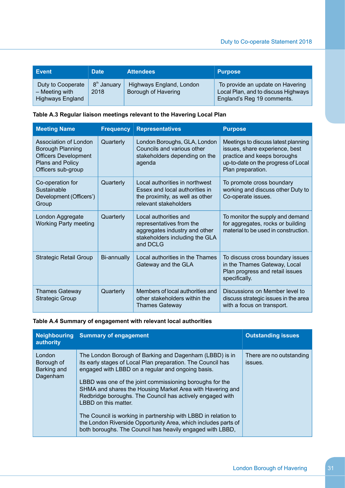| <b>Event</b>                                                     | <b>Date</b>                     | <b>Attendees</b>                                | <b>Purpose</b>                                                                                        |
|------------------------------------------------------------------|---------------------------------|-------------------------------------------------|-------------------------------------------------------------------------------------------------------|
| Duty to Cooperate<br>$-$ Meeting with<br><b>Highways England</b> | 8 <sup>th</sup> January<br>2018 | Highways England, London<br>Borough of Havering | To provide an update on Havering<br>Local Plan, and to discuss Highways<br>England's Reg 19 comments. |

## **Table A.3 Regular liaison meetings relevant to the Havering Local Plan**

<span id="page-32-0"></span>

| <b>Meeting Name</b>                                                                                                | <b>Frequency</b> | <b>Representatives</b>                                                                                                           | <b>Purpose</b>                                                                                                                                                   |
|--------------------------------------------------------------------------------------------------------------------|------------------|----------------------------------------------------------------------------------------------------------------------------------|------------------------------------------------------------------------------------------------------------------------------------------------------------------|
| Association of London<br>Borough Planning<br><b>Officers Development</b><br>Plans and Policy<br>Officers sub-group | Quarterly        | London Boroughs, GLA, London<br>Councils and various other<br>stakeholders depending on the<br>agenda                            | Meetings to discuss latest planning<br>issues, share experience, best<br>practice and keeps boroughs<br>up-to-date on the progress of Local<br>Plan preparation. |
| Co-operation for<br>Sustainable<br>Development (Officers')<br>Group                                                | Quarterly        | Local authorities in northwest<br>Essex and local authorities in<br>the proximity, as well as other<br>relevant stakeholders     | To promote cross boundary<br>working and discuss other Duty to<br>Co-operate issues.                                                                             |
| London Aggregate<br><b>Working Party meeting</b>                                                                   | Quarterly        | Local authorities and<br>representatives from the<br>aggregates industry and other<br>stakeholders including the GLA<br>and DCLG | To monitor the supply and demand<br>for aggregates, rocks or building<br>material to be used in construction.                                                    |
| <b>Strategic Retail Group</b>                                                                                      | Bi-annually      | Local authorities in the Thames<br>Gateway and the GLA                                                                           | To discuss cross boundary issues<br>in the Thames Gateway, Local<br>Plan progress and retail issues<br>specifically.                                             |
| <b>Thames Gateway</b><br><b>Strategic Group</b>                                                                    | Quarterly        | Members of local authorities and<br>other stakeholders within the<br><b>Thames Gateway</b>                                       | Discussions on Member level to<br>discuss strategic issues in the area<br>with a focus on transport.                                                             |

## <span id="page-32-1"></span>**Table A.4 Summary of engagement with relevant local authorities**

| authority                                       | Neighbouring Summary of engagement                                                                                                                                                                                                                                                                                                                                                                                                                                                                                                                                                         | <b>Outstanding issues</b>           |
|-------------------------------------------------|--------------------------------------------------------------------------------------------------------------------------------------------------------------------------------------------------------------------------------------------------------------------------------------------------------------------------------------------------------------------------------------------------------------------------------------------------------------------------------------------------------------------------------------------------------------------------------------------|-------------------------------------|
| London<br>Borough of<br>Barking and<br>Dagenham | The London Borough of Barking and Dagenham (LBBD) is in<br>its early stages of Local Plan preparation. The Council has<br>engaged with LBBD on a regular and ongoing basis.<br>LBBD was one of the joint commissioning boroughs for the<br>SHMA and shares the Housing Market Area with Havering and<br>Redbridge boroughs. The Council has actively engaged with<br>LBBD on this matter.<br>The Council is working in partnership with LBBD in relation to<br>the London Riverside Opportunity Area, which includes parts of<br>both boroughs. The Council has heavily engaged with LBBD, | There are no outstanding<br>issues. |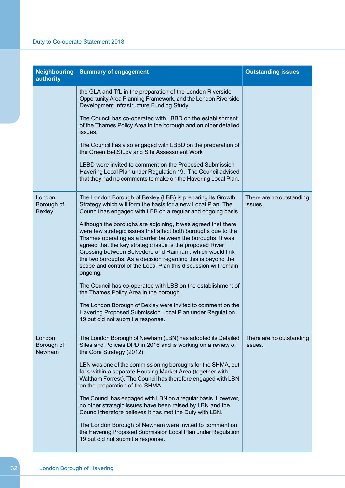| authority                             | <b>Neighbouring Summary of engagement</b>                                                                                                                                                                                                                                                                                                                                                                                                                             | <b>Outstanding issues</b>           |
|---------------------------------------|-----------------------------------------------------------------------------------------------------------------------------------------------------------------------------------------------------------------------------------------------------------------------------------------------------------------------------------------------------------------------------------------------------------------------------------------------------------------------|-------------------------------------|
|                                       | the GLA and TfL in the preparation of the London Riverside<br>Opportunity Area Planning Framework, and the London Riverside<br>Development Infrastructure Funding Study.                                                                                                                                                                                                                                                                                              |                                     |
|                                       | The Council has co-operated with LBBD on the establishment<br>of the Thames Policy Area in the borough and on other detailed<br>issues.                                                                                                                                                                                                                                                                                                                               |                                     |
|                                       | The Council has also engaged with LBBD on the preparation of<br>the Green BeltStudy and Site Assessment Work                                                                                                                                                                                                                                                                                                                                                          |                                     |
|                                       | LBBD were invited to comment on the Proposed Submission<br>Havering Local Plan under Regulation 19. The Council advised<br>that they had no comments to make on the Havering Local Plan.                                                                                                                                                                                                                                                                              |                                     |
| London<br>Borough of<br><b>Bexley</b> | The London Borough of Bexley (LBB) is preparing its Growth<br>Strategy which will form the basis for a new Local Plan. The<br>Council has engaged with LBB on a regular and ongoing basis.                                                                                                                                                                                                                                                                            | There are no outstanding<br>issues. |
|                                       | Although the boroughs are adjoining, it was agreed that there<br>were few strategic issues that affect both boroughs due to the<br>Thames operating as a barrier between the boroughs. It was<br>agreed that the key strategic issue is the proposed River<br>Crossing between Belvedere and Rainham, which would link<br>the two boroughs. As a decision regarding this is beyond the<br>scope and control of the Local Plan this discussion will remain<br>ongoing. |                                     |
|                                       | The Council has co-operated with LBB on the establishment of<br>the Thames Policy Area in the borough.                                                                                                                                                                                                                                                                                                                                                                |                                     |
|                                       | The London Borough of Bexley were invited to comment on the<br>Havering Proposed Submission Local Plan under Regulation<br>19 but did not submit a response.                                                                                                                                                                                                                                                                                                          |                                     |
| London<br>Borough of<br>Newham        | The London Borough of Newham (LBN) has adopted its Detailed<br>Sites and Policies DPD in 2016 and is working on a review of<br>the Core Strategy (2012).                                                                                                                                                                                                                                                                                                              | There are no outstanding<br>issues. |
|                                       | LBN was one of the commissioning boroughs for the SHMA, but<br>falls within a separate Housing Market Area (together with<br>Waltham Forrest). The Council has therefore engaged with LBN<br>on the preparation of the SHMA.                                                                                                                                                                                                                                          |                                     |
|                                       | The Council has engaged with LBN on a regular basis. However,<br>no other strategic issues have been raised by LBN and the<br>Council therefore believes it has met the Duty with LBN.                                                                                                                                                                                                                                                                                |                                     |
|                                       | The London Borough of Newham were invited to comment on<br>the Havering Proposed Submission Local Plan under Regulation<br>19 but did not submit a response.                                                                                                                                                                                                                                                                                                          |                                     |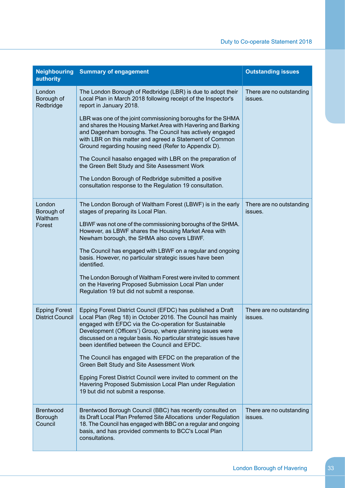| <b>Neighbouring</b><br>authority                | <b>Summary of engagement</b>                                                                                                                                                                                                                                                                                                                                            | <b>Outstanding issues</b>           |
|-------------------------------------------------|-------------------------------------------------------------------------------------------------------------------------------------------------------------------------------------------------------------------------------------------------------------------------------------------------------------------------------------------------------------------------|-------------------------------------|
| London<br>Borough of<br>Redbridge               | The London Borough of Redbridge (LBR) is due to adopt their<br>Local Plan in March 2018 following receipt of the Inspector's<br>report in January 2018.                                                                                                                                                                                                                 | There are no outstanding<br>issues. |
|                                                 | LBR was one of the joint commissioning boroughs for the SHMA<br>and shares the Housing Market Area with Havering and Barking<br>and Dagenham boroughs. The Council has actively engaged<br>with LBR on this matter and agreed a Statement of Common<br>Ground regarding housing need (Refer to Appendix D).                                                             |                                     |
|                                                 | The Council hasalso engaged with LBR on the preparation of<br>the Green Belt Study and Site Assessment Work                                                                                                                                                                                                                                                             |                                     |
|                                                 | The London Borough of Redbridge submitted a positive<br>consultation response to the Regulation 19 consultation.                                                                                                                                                                                                                                                        |                                     |
| London<br>Borough of<br>Waltham                 | The London Borough of Waltham Forest (LBWF) is in the early<br>stages of preparing its Local Plan.                                                                                                                                                                                                                                                                      | There are no outstanding<br>issues. |
| Forest                                          | LBWF was not one of the commissioning boroughs of the SHMA.<br>However, as LBWF shares the Housing Market Area with<br>Newham borough, the SHMA also covers LBWF.                                                                                                                                                                                                       |                                     |
|                                                 | The Council has engaged with LBWF on a regular and ongoing<br>basis. However, no particular strategic issues have been<br>identified.                                                                                                                                                                                                                                   |                                     |
|                                                 | The London Borough of Waltham Forest were invited to comment<br>on the Havering Proposed Submission Local Plan under<br>Regulation 19 but did not submit a response.                                                                                                                                                                                                    |                                     |
| <b>Epping Forest</b><br><b>District Council</b> | Epping Forest District Council (EFDC) has published a Draft<br>Local Plan (Reg 18) in October 2016. The Council has mainly<br>engaged with EFDC via the Co-operation for Sustainable<br>Development (Officers') Group, where planning issues were<br>discussed on a regular basis. No particular strategic issues have<br>been identified between the Council and EFDC. | There are no outstanding<br>issues. |
|                                                 | The Council has engaged with EFDC on the preparation of the<br>Green Belt Study and Site Assessment Work                                                                                                                                                                                                                                                                |                                     |
|                                                 | Epping Forest District Council were invited to comment on the<br>Havering Proposed Submission Local Plan under Regulation<br>19 but did not submit a response.                                                                                                                                                                                                          |                                     |
| <b>Brentwood</b><br>Borough<br>Council          | Brentwood Borough Council (BBC) has recently consulted on<br>its Draft Local Plan Preferred Site Allocations under Regulation<br>18. The Council has engaged with BBC on a regular and ongoing<br>basis, and has provided comments to BCC's Local Plan<br>consultations.                                                                                                | There are no outstanding<br>issues. |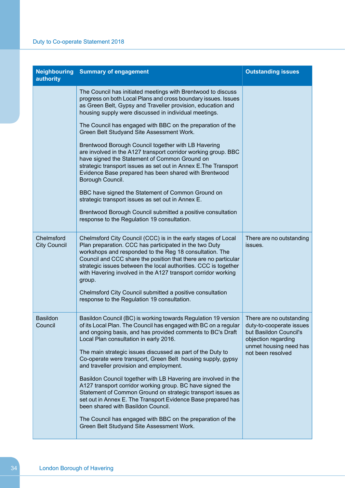| <b>Neighbouring</b><br>authority  | <b>Summary of engagement</b>                                                                                                                                                                                                                                                                                                                                                                                                                                                                                                                                                                                                                                                                                                                                                                                                     | <b>Outstanding issues</b>                                                                                                                            |
|-----------------------------------|----------------------------------------------------------------------------------------------------------------------------------------------------------------------------------------------------------------------------------------------------------------------------------------------------------------------------------------------------------------------------------------------------------------------------------------------------------------------------------------------------------------------------------------------------------------------------------------------------------------------------------------------------------------------------------------------------------------------------------------------------------------------------------------------------------------------------------|------------------------------------------------------------------------------------------------------------------------------------------------------|
|                                   | The Council has initiated meetings with Brentwood to discuss<br>progress on both Local Plans and cross boundary issues. Issues<br>as Green Belt, Gypsy and Traveller provision, education and<br>housing supply were discussed in individual meetings.                                                                                                                                                                                                                                                                                                                                                                                                                                                                                                                                                                           |                                                                                                                                                      |
|                                   | The Council has engaged with BBC on the preparation of the<br>Green Belt Studyand Site Assessment Work.                                                                                                                                                                                                                                                                                                                                                                                                                                                                                                                                                                                                                                                                                                                          |                                                                                                                                                      |
|                                   | Brentwood Borough Council together with LB Havering<br>are involved in the A127 transport corridor working group. BBC<br>have signed the Statement of Common Ground on<br>strategic transport issues as set out in Annex E. The Transport<br>Evidence Base prepared has been shared with Brentwood<br>Borough Council.                                                                                                                                                                                                                                                                                                                                                                                                                                                                                                           |                                                                                                                                                      |
|                                   | BBC have signed the Statement of Common Ground on<br>strategic transport issues as set out in Annex E.                                                                                                                                                                                                                                                                                                                                                                                                                                                                                                                                                                                                                                                                                                                           |                                                                                                                                                      |
|                                   | Brentwood Borough Council submitted a positive consultation<br>response to the Regulation 19 consultation.                                                                                                                                                                                                                                                                                                                                                                                                                                                                                                                                                                                                                                                                                                                       |                                                                                                                                                      |
| Chelmsford<br><b>City Council</b> | Chelmsford City Council (CCC) is in the early stages of Local<br>Plan preparation. CCC has participated in the two Duty<br>workshops and responded to the Reg 18 consultation. The<br>Council and CCC share the position that there are no particular<br>strategic issues between the local authorities. CCC is together<br>with Havering involved in the A127 transport corridor working<br>group.<br>Chelmsford City Council submitted a positive consultation<br>response to the Regulation 19 consultation.                                                                                                                                                                                                                                                                                                                  | There are no outstanding<br>issues.                                                                                                                  |
|                                   |                                                                                                                                                                                                                                                                                                                                                                                                                                                                                                                                                                                                                                                                                                                                                                                                                                  |                                                                                                                                                      |
| <b>Basildon</b><br>Council        | Basildon Council (BC) is working towards Regulation 19 version<br>of its Local Plan. The Council has engaged with BC on a regular<br>and ongoing basis, and has provided comments to BC's Draft<br>Local Plan consultation in early 2016.<br>The main strategic issues discussed as part of the Duty to<br>Co-operate were transport, Green Belt housing supply, gypsy<br>and traveller provision and employment.<br>Basildon Council together with LB Havering are involved in the<br>A127 transport corridor working group. BC have signed the<br>Statement of Common Ground on strategic transport issues as<br>set out in Annex E. The Transport Evidence Base prepared has<br>been shared with Basildon Council.<br>The Council has engaged with BBC on the preparation of the<br>Green Belt Studyand Site Assessment Work. | There are no outstanding<br>duty-to-cooperate issues<br>but Basildon Council's<br>objection regarding<br>unmet housing need has<br>not been resolved |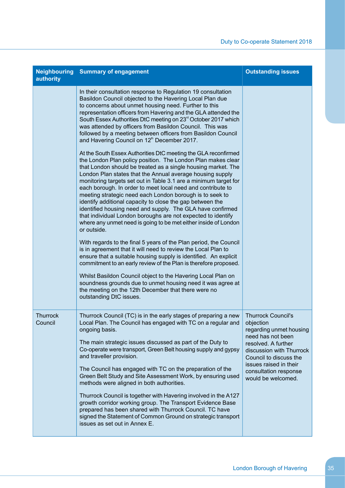| authority                  | <b>Neighbouring Summary of engagement</b>                                                                                                                                                                                                                                                                                                                                                                                                                                                                                                                                                                                                                                                                                                                                                                                                                                                                                                                                                                                                                                                                                                                                                                                                                                                                                                                                                                                                                                                                                                                                                                                                                                                                                                                           | <b>Outstanding issues</b>                                                                                                                                                                                                                    |
|----------------------------|---------------------------------------------------------------------------------------------------------------------------------------------------------------------------------------------------------------------------------------------------------------------------------------------------------------------------------------------------------------------------------------------------------------------------------------------------------------------------------------------------------------------------------------------------------------------------------------------------------------------------------------------------------------------------------------------------------------------------------------------------------------------------------------------------------------------------------------------------------------------------------------------------------------------------------------------------------------------------------------------------------------------------------------------------------------------------------------------------------------------------------------------------------------------------------------------------------------------------------------------------------------------------------------------------------------------------------------------------------------------------------------------------------------------------------------------------------------------------------------------------------------------------------------------------------------------------------------------------------------------------------------------------------------------------------------------------------------------------------------------------------------------|----------------------------------------------------------------------------------------------------------------------------------------------------------------------------------------------------------------------------------------------|
|                            | In their consultation response to Regulation 19 consultation<br>Basildon Council objected to the Havering Local Plan due<br>to concerns about unmet housing need. Further to this<br>representation officers from Havering and the GLA attended the<br>South Essex Authorities DtC meeting on 23 <sup>rd</sup> October 2017 which<br>was attended by officers from Basildon Council. This was<br>followed by a meeting between officers from Basildon Council<br>and Havering Council on 12 <sup>th</sup> December 2017.<br>At the South Essex Authorities DtC meeting the GLA reconfirmed<br>the London Plan policy position. The London Plan makes clear<br>that London should be treated as a single housing market. The<br>London Plan states that the Annual average housing supply<br>monitoring targets set out in Table 3.1 are a minimum target for<br>each borough. In order to meet local need and contribute to<br>meeting strategic need each London borough is to seek to<br>identify additional capacity to close the gap between the<br>identified housing need and supply. The GLA have confirmed<br>that individual London boroughs are not expected to identify<br>where any unmet need is going to be met either inside of London<br>or outside.<br>With regards to the final 5 years of the Plan period, the Council<br>is in agreement that it will need to review the Local Plan to<br>ensure that a suitable housing supply is identified. An explicit<br>commitment to an early review of the Plan is therefore proposed.<br>Whilst Basildon Council object to the Havering Local Plan on<br>soundness grounds due to unmet housing need it was agree at<br>the meeting on the 12th December that there were no<br>outstanding DtC issues. |                                                                                                                                                                                                                                              |
| <b>Thurrock</b><br>Council | Thurrock Council (TC) is in the early stages of preparing a new<br>Local Plan. The Council has engaged with TC on a regular and<br>ongoing basis.<br>The main strategic issues discussed as part of the Duty to<br>Co-operate were transport, Green Belt housing supply and gypsy<br>and traveller provision.<br>The Council has engaged with TC on the preparation of the<br>Green Belt Study and Site Assessment Work, by ensuring used<br>methods were aligned in both authorities.<br>Thurrock Council is together with Havering involved in the A127<br>growth corridor working group. The Transport Evidence Base<br>prepared has been shared with Thurrock Council. TC have<br>signed the Statement of Common Ground on strategic transport<br>issues as set out in Annex E.                                                                                                                                                                                                                                                                                                                                                                                                                                                                                                                                                                                                                                                                                                                                                                                                                                                                                                                                                                                 | <b>Thurrock Council's</b><br>objection<br>regarding unmet housing<br>need has not been<br>resolved. A further<br>discussion with Thurrock<br>Council to discuss the<br>issues raised in their<br>consultation response<br>would be welcomed. |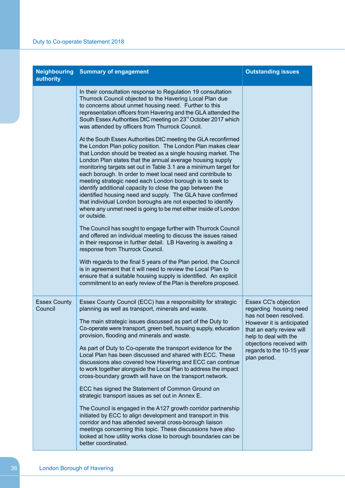| authority                      | <b>Neighbouring Summary of engagement</b>                                                                                                                                                                                                                                                                                                                                                                                                                                                                                                                                                                                                                                                                                                                                                                                                                                                                                                                                                                                                                                                                                                                                                                                                                                                                                                                                                                                                                                                                                                                                                                                                               | <b>Outstanding issues</b>                                                                                                                                                                                                            |
|--------------------------------|---------------------------------------------------------------------------------------------------------------------------------------------------------------------------------------------------------------------------------------------------------------------------------------------------------------------------------------------------------------------------------------------------------------------------------------------------------------------------------------------------------------------------------------------------------------------------------------------------------------------------------------------------------------------------------------------------------------------------------------------------------------------------------------------------------------------------------------------------------------------------------------------------------------------------------------------------------------------------------------------------------------------------------------------------------------------------------------------------------------------------------------------------------------------------------------------------------------------------------------------------------------------------------------------------------------------------------------------------------------------------------------------------------------------------------------------------------------------------------------------------------------------------------------------------------------------------------------------------------------------------------------------------------|--------------------------------------------------------------------------------------------------------------------------------------------------------------------------------------------------------------------------------------|
|                                | In their consultation response to Regulation 19 consultation<br>Thurrock Council objected to the Havering Local Plan due<br>to concerns about unmet housing need. Further to this<br>representation officers from Havering and the GLA attended the<br>South Essex Authorities DtC meeting on 23 <sup>rd</sup> October 2017 which<br>was attended by officers from Thurrock Council.<br>At the South Essex Authorities DtC meeting the GLA reconfirmed<br>the London Plan policy position. The London Plan makes clear<br>that London should be treated as a single housing market. The<br>London Plan states that the annual average housing supply<br>monitoring targets set out in Table 3.1 are a minimum target for<br>each borough. In order to meet local need and contribute to<br>meeting strategic need each London borough is to seek to<br>identify additional capacity to close the gap between the<br>identified housing need and supply. The GLA have confirmed<br>that individual London boroughs are not expected to identify<br>where any unmet need is going to be met either inside of London<br>or outside.<br>The Council has sought to engage further with Thurrock Council<br>and offered an individual meeting to discuss the issues raised<br>in their response in further detail. LB Havering is awaiting a<br>response from Thurrock Council.<br>With regards to the final 5 years of the Plan period, the Council<br>is in agreement that it will need to review the Local Plan to<br>ensure that a suitable housing supply is identified. An explicit<br>commitment to an early review of the Plan is therefore proposed. |                                                                                                                                                                                                                                      |
| <b>Essex County</b><br>Council | Essex County Council (ECC) has a responsibility for strategic<br>planning as well as transport, minerals and waste.<br>The main strategic issues discussed as part of the Duty to<br>Co-operate were transport, green belt, housing supply, education<br>provision, flooding and minerals and waste.<br>As part of Duty to Co-operate the transport evidence for the<br>Local Plan has been discussed and shared with ECC. These<br>discussions also covered how Havering and ECC can continue<br>to work together alongside the Local Plan to address the impact<br>cross-boundary growth will have on the transport network.<br>ECC has signed the Statement of Common Ground on<br>strategic transport issues as set out in Annex E.<br>The Council is engaged in the A127 growth corridor partnership<br>initiated by ECC to align development and transport in this<br>corridor and has attended several cross-borough liaison<br>meetings concerning this topic. These discussions have also<br>looked at how utility works close to borough boundaries can be<br>better coordinated.                                                                                                                                                                                                                                                                                                                                                                                                                                                                                                                                                             | Essex CC's objection<br>regarding housing need<br>has not been resolved.<br>However it is anticipated<br>that an early review will<br>help to deal with the<br>objections received with<br>regards to the 10-15 year<br>plan period. |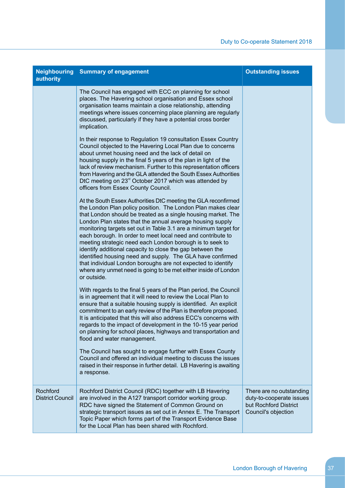| authority                           | <b>Neighbouring Summary of engagement</b>                                                                                                                                                                                                                                                                                                                                                                                                                                                                                                                                                                                                                                                                                                | <b>Outstanding issues</b>                                                                            |
|-------------------------------------|------------------------------------------------------------------------------------------------------------------------------------------------------------------------------------------------------------------------------------------------------------------------------------------------------------------------------------------------------------------------------------------------------------------------------------------------------------------------------------------------------------------------------------------------------------------------------------------------------------------------------------------------------------------------------------------------------------------------------------------|------------------------------------------------------------------------------------------------------|
|                                     | The Council has engaged with ECC on planning for school<br>places. The Havering school organisation and Essex school<br>organisation teams maintain a close relationship, attending<br>meetings where issues concerning place planning are regularly<br>discussed, particularly if they have a potential cross border<br>implication.                                                                                                                                                                                                                                                                                                                                                                                                    |                                                                                                      |
|                                     | In their response to Regulation 19 consultation Essex Country<br>Council objected to the Havering Local Plan due to concerns<br>about unmet housing need and the lack of detail on<br>housing supply in the final 5 years of the plan in light of the<br>lack of review mechanism. Further to this representation officers<br>from Havering and the GLA attended the South Essex Authorities<br>DtC meeting on 23 <sup>rd</sup> October 2017 which was attended by<br>officers from Essex County Council.                                                                                                                                                                                                                                |                                                                                                      |
|                                     | At the South Essex Authorities DtC meeting the GLA reconfirmed<br>the London Plan policy position. The London Plan makes clear<br>that London should be treated as a single housing market. The<br>London Plan states that the annual average housing supply<br>monitoring targets set out in Table 3.1 are a minimum target for<br>each borough. In order to meet local need and contribute to<br>meeting strategic need each London borough is to seek to<br>identify additional capacity to close the gap between the<br>identified housing need and supply. The GLA have confirmed<br>that individual London boroughs are not expected to identify<br>where any unmet need is going to be met either inside of London<br>or outside. |                                                                                                      |
|                                     | With regards to the final 5 years of the Plan period, the Council<br>is in agreement that it will need to review the Local Plan to<br>ensure that a suitable housing supply is identified. An explicit<br>commitment to an early review of the Plan is therefore proposed.<br>It is anticipated that this will also address ECC's concerns with<br>regards to the impact of development in the 10-15 year period<br>on planning for school places, highways and transportation and<br>flood and water management.<br>The Council has sought to engage further with Essex County                                                                                                                                                          |                                                                                                      |
|                                     | Council and offered an individual meeting to discuss the issues<br>raised in their response in further detail. LB Havering is awaiting<br>a response.                                                                                                                                                                                                                                                                                                                                                                                                                                                                                                                                                                                    |                                                                                                      |
| Rochford<br><b>District Council</b> | Rochford District Council (RDC) together with LB Havering<br>are involved in the A127 transport corridor working group.<br>RDC have signed the Statement of Common Ground on<br>strategic transport issues as set out in Annex E. The Transport<br>Topic Paper which forms part of the Transport Evidence Base<br>for the Local Plan has been shared with Rochford.                                                                                                                                                                                                                                                                                                                                                                      | There are no outstanding<br>duty-to-cooperate issues<br>but Rochford District<br>Council's objection |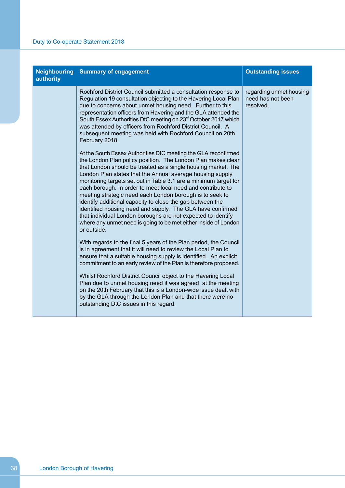| authority | <b>Neighbouring Summary of engagement</b>                                                                                                                                                                                                                                                                                                                                                                                                                                                                                                                                                                                                                                                                                                | <b>Outstanding issues</b>                                 |
|-----------|------------------------------------------------------------------------------------------------------------------------------------------------------------------------------------------------------------------------------------------------------------------------------------------------------------------------------------------------------------------------------------------------------------------------------------------------------------------------------------------------------------------------------------------------------------------------------------------------------------------------------------------------------------------------------------------------------------------------------------------|-----------------------------------------------------------|
|           | Rochford District Council submitted a consultation response to<br>Regulation 19 consultation objecting to the Havering Local Plan<br>due to concerns about unmet housing need. Further to this<br>representation officers from Havering and the GLA attended the<br>South Essex Authorities DtC meeting on 23 <sup>rd</sup> October 2017 which<br>was attended by officers from Rochford District Council. A<br>subsequent meeting was held with Rochford Council on 20th<br>February 2018.                                                                                                                                                                                                                                              | regarding unmet housing<br>need has not been<br>resolved. |
|           | At the South Essex Authorities DtC meeting the GLA reconfirmed<br>the London Plan policy position. The London Plan makes clear<br>that London should be treated as a single housing market. The<br>London Plan states that the Annual average housing supply<br>monitoring targets set out in Table 3.1 are a minimum target for<br>each borough. In order to meet local need and contribute to<br>meeting strategic need each London borough is to seek to<br>identify additional capacity to close the gap between the<br>identified housing need and supply. The GLA have confirmed<br>that individual London boroughs are not expected to identify<br>where any unmet need is going to be met either inside of London<br>or outside. |                                                           |
|           | With regards to the final 5 years of the Plan period, the Council<br>is in agreement that it will need to review the Local Plan to<br>ensure that a suitable housing supply is identified. An explicit<br>commitment to an early review of the Plan is therefore proposed.                                                                                                                                                                                                                                                                                                                                                                                                                                                               |                                                           |
|           | Whilst Rochford District Council object to the Havering Local<br>Plan due to unmet housing need it was agreed at the meeting<br>on the 20th February that this is a London-wide issue dealt with<br>by the GLA through the London Plan and that there were no<br>outstanding DtC issues in this regard.                                                                                                                                                                                                                                                                                                                                                                                                                                  |                                                           |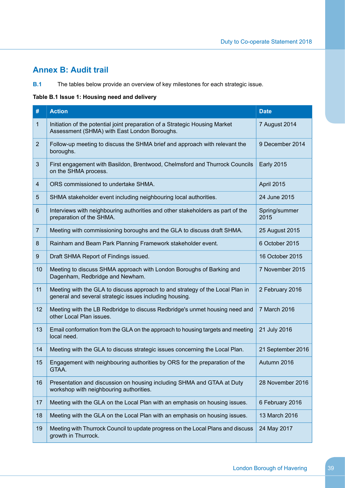# <span id="page-40-0"></span>**Annex B: Audit trail**

**B.1** The tables below provide an overview of key milestones for each strategic issue.

## **Table B.1 Issue 1: Housing need and delivery**

| #              | <b>Action</b>                                                                                                                            | <b>Date</b>           |
|----------------|------------------------------------------------------------------------------------------------------------------------------------------|-----------------------|
| 1              | Initiation of the potential joint preparation of a Strategic Housing Market<br>Assessment (SHMA) with East London Boroughs.              | 7 August 2014         |
| $\overline{2}$ | Follow-up meeting to discuss the SHMA brief and approach with relevant the<br>boroughs.                                                  | 9 December 2014       |
| 3              | First engagement with Basildon, Brentwood, Chelmsford and Thurrock Councils<br>on the SHMA process.                                      | <b>Early 2015</b>     |
| 4              | ORS commissioned to undertake SHMA.                                                                                                      | April 2015            |
| 5              | SHMA stakeholder event including neighbouring local authorities.                                                                         | 24 June 2015          |
| 6              | Interviews with neighbouring authorities and other stakeholders as part of the<br>preparation of the SHMA.                               | Spring/summer<br>2015 |
| $\overline{7}$ | Meeting with commissioning boroughs and the GLA to discuss draft SHMA.                                                                   | 25 August 2015        |
| 8              | Rainham and Beam Park Planning Framework stakeholder event.                                                                              | 6 October 2015        |
| 9              | Draft SHMA Report of Findings issued.                                                                                                    | 16 October 2015       |
| 10             | Meeting to discuss SHMA approach with London Boroughs of Barking and<br>Dagenham, Redbridge and Newham.                                  | 7 November 2015       |
| 11             | Meeting with the GLA to discuss approach to and strategy of the Local Plan in<br>general and several strategic issues including housing. | 2 February 2016       |
| 12             | Meeting with the LB Redbridge to discuss Redbridge's unmet housing need and<br>other Local Plan issues.                                  | 7 March 2016          |
| 13             | Email conformation from the GLA on the approach to housing targets and meeting<br>local need.                                            | 21 July 2016          |
| 14             | Meeting with the GLA to discuss strategic issues concerning the Local Plan.                                                              | 21 September 2016     |
| 15             | Engagement with neighbouring authorities by ORS for the preparation of the<br>GTAA.                                                      | Autumn 2016           |
| 16             | Presentation and discussion on housing including SHMA and GTAA at Duty<br>workshop with neighbouring authorities.                        | 28 November 2016      |
| 17             | Meeting with the GLA on the Local Plan with an emphasis on housing issues.                                                               | 6 February 2016       |
| 18             | Meeting with the GLA on the Local Plan with an emphasis on housing issues.                                                               | 13 March 2016         |
| 19             | Meeting with Thurrock Council to update progress on the Local Plans and discuss<br>growth in Thurrock.                                   | 24 May 2017           |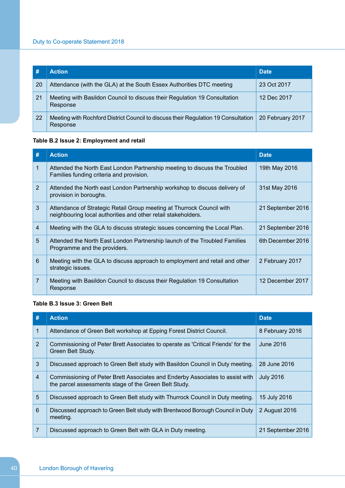|    | <b>Action</b>                                                                                  | <b>Date</b>      |
|----|------------------------------------------------------------------------------------------------|------------------|
| 20 | Attendance (with the GLA) at the South Essex Authorities DTC meeting                           | 23 Oct 2017      |
| 21 | Meeting with Basildon Council to discuss their Regulation 19 Consultation<br>Response          | 12 Dec 2017      |
| 22 | Meeting with Rochford District Council to discuss their Regulation 19 Consultation<br>Response | 20 February 2017 |

## **Table B.2 Issue 2: Employment and retail**

| #              | <b>Action</b>                                                                                                                          | <b>Date</b>       |
|----------------|----------------------------------------------------------------------------------------------------------------------------------------|-------------------|
| $\mathbf{1}$   | Attended the North East London Partnership meeting to discuss the Troubled<br>Families funding criteria and provision.                 | 19th May 2016     |
| $\overline{2}$ | Attended the North east London Partnership workshop to discuss delivery of<br>provision in boroughs.                                   | 31st May 2016     |
| 3              | Attendance of Strategic Retail Group meeting at Thurrock Council with<br>neighbouring local authorities and other retail stakeholders. | 21 September 2016 |
| $\overline{4}$ | Meeting with the GLA to discuss strategic issues concerning the Local Plan.                                                            | 21 September 2016 |
| 5              | Attended the North East London Partnership launch of the Troubled Families<br>Programme and the providers.                             | 6th December 2016 |
| 6              | Meeting with the GLA to discuss approach to employment and retail and other<br>strategic issues.                                       | 2 February 2017   |
| $\overline{7}$ | Meeting with Basildon Council to discuss their Regulation 19 Consultation<br>Response                                                  | 12 December 2017  |

## **Table B.3 Issue 3: Green Belt**

| #              | <b>Action</b>                                                                                                                          | <b>Date</b>       |
|----------------|----------------------------------------------------------------------------------------------------------------------------------------|-------------------|
| 1              | Attendance of Green Belt workshop at Epping Forest District Council.                                                                   | 8 February 2016   |
| 2              | Commissioning of Peter Brett Associates to operate as 'Critical Friends' for the<br>Green Belt Study.                                  | June 2016         |
| 3              | Discussed approach to Green Belt study with Basildon Council in Duty meeting.                                                          | 28 June 2016      |
| $\overline{4}$ | Commissioning of Peter Brett Associates and Enderby Associates to assist with<br>the parcel assessments stage of the Green Belt Study. | <b>July 2016</b>  |
| 5              | Discussed approach to Green Belt study with Thurrock Council in Duty meeting.                                                          | 15 July 2016      |
| 6              | Discussed approach to Green Belt study with Brentwood Borough Council in Duty<br>meeting.                                              | 2 August 2016     |
| $\overline{7}$ | Discussed approach to Green Belt with GLA in Duty meeting.                                                                             | 21 September 2016 |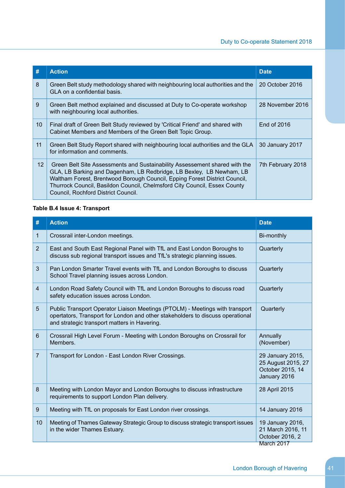| #  | <b>Action</b>                                                                                                                                                                                                                                                                                                                                        | <b>Date</b>       |
|----|------------------------------------------------------------------------------------------------------------------------------------------------------------------------------------------------------------------------------------------------------------------------------------------------------------------------------------------------------|-------------------|
| 8  | Green Belt study methodology shared with neighbouring local authorities and the<br>GLA on a confidential basis.                                                                                                                                                                                                                                      | 20 October 2016   |
| 9  | Green Belt method explained and discussed at Duty to Co-operate workshop<br>with neighbouring local authorities.                                                                                                                                                                                                                                     | 28 November 2016  |
| 10 | Final draft of Green Belt Study reviewed by 'Critical Friend' and shared with<br>Cabinet Members and Members of the Green Belt Topic Group.                                                                                                                                                                                                          | End of 2016       |
| 11 | Green Belt Study Report shared with neighbouring local authorities and the GLA<br>for information and comments.                                                                                                                                                                                                                                      | 30 January 2017   |
| 12 | Green Belt Site Assessments and Sustainability Assessement shared with the<br>GLA, LB Barking and Dagenham, LB Redbridge, LB Bexley, LB Newham, LB<br>Waltham Forest, Brentwood Borough Council, Epping Forest District Council,<br>Thurrock Council, Basildon Council, Chelmsford City Council, Essex County<br>Council, Rochford District Council. | 7th February 2018 |

## **Table B.4 Issue 4: Transport**

| #              | <b>Action</b>                                                                                                                                                                                                  | <b>Date</b>                                                                |
|----------------|----------------------------------------------------------------------------------------------------------------------------------------------------------------------------------------------------------------|----------------------------------------------------------------------------|
| $\mathbf{1}$   | Crossrail inter-London meetings.                                                                                                                                                                               | Bi-monthly                                                                 |
| $\overline{2}$ | East and South East Regional Panel with TfL and East London Boroughs to<br>discuss sub regional transport issues and TfL's strategic planning issues.                                                          | Quarterly                                                                  |
| 3              | Pan London Smarter Travel events with TfL and London Boroughs to discuss<br>School Travel planning issues across London.                                                                                       | Quarterly                                                                  |
| $\overline{4}$ | London Road Safety Council with TfL and London Boroughs to discuss road<br>safety education issues across London.                                                                                              | Quarterly                                                                  |
| 5              | Public Transport Operator Liaison Meetings (PTOLM) - Meetings with transport<br>opertators, Transport for London and other stakeholders to discuss operational<br>and strategic transport matters in Havering. | Quarterly                                                                  |
| 6              | Crossrail High Level Forum - Meeting with London Boroughs on Crossrail for<br>Members.                                                                                                                         | Annually<br>(November)                                                     |
| $\overline{7}$ | Transport for London - East London River Crossings.                                                                                                                                                            | 29 January 2015,<br>25 August 2015, 27<br>October 2015, 14<br>January 2016 |
| 8              | Meeting with London Mayor and London Boroughs to discuss infrastructure<br>requirements to support London Plan delivery.                                                                                       | 28 April 2015                                                              |
| 9              | Meeting with TfL on proposals for East London river crossings.                                                                                                                                                 | 14 January 2016                                                            |
| 10             | Meeting of Thames Gateway Strategic Group to discuss strategic transport issues<br>in the wider Thames Estuary.                                                                                                | 19 January 2016,<br>21 March 2016, 11<br>October 2016, 2                   |
|                |                                                                                                                                                                                                                | March 2017                                                                 |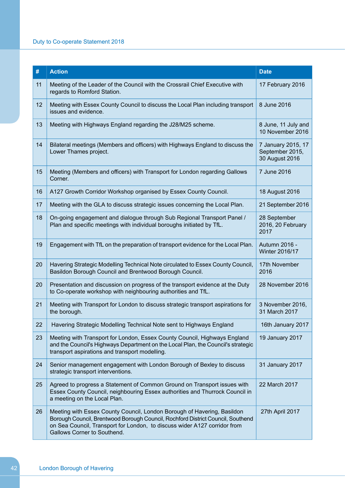## Duty to Co-operate Statement 2018

| #  | <b>Action</b>                                                                                                                                                                                                                                                          | <b>Date</b>                                             |
|----|------------------------------------------------------------------------------------------------------------------------------------------------------------------------------------------------------------------------------------------------------------------------|---------------------------------------------------------|
| 11 | Meeting of the Leader of the Council with the Crossrail Chief Executive with<br>regards to Romford Station.                                                                                                                                                            | 17 February 2016                                        |
| 12 | Meeting with Essex County Council to discuss the Local Plan including transport<br>issues and evidence.                                                                                                                                                                | 8 June 2016                                             |
| 13 | Meeting with Highways England regarding the J28/M25 scheme.                                                                                                                                                                                                            | 8 June, 11 July and<br>10 November 2016                 |
| 14 | Bilateral meetings (Members and officers) with Highways England to discuss the<br>Lower Thames project.                                                                                                                                                                | 7 January 2015, 17<br>September 2015,<br>30 August 2016 |
| 15 | Meeting (Members and officers) with Transport for London regarding Gallows<br>Corner.                                                                                                                                                                                  | 7 June 2016                                             |
| 16 | A127 Growth Corridor Workshop organised by Essex County Council.                                                                                                                                                                                                       | 18 August 2016                                          |
| 17 | Meeting with the GLA to discuss strategic issues concerning the Local Plan.                                                                                                                                                                                            | 21 September 2016                                       |
| 18 | On-going engagement and dialogue through Sub Regional Transport Panel /<br>Plan and specific meetings with individual boroughs initiated by TfL.                                                                                                                       | 28 September<br>2016, 20 February<br>2017               |
| 19 | Engagement with TfL on the preparation of transport evidence for the Local Plan.                                                                                                                                                                                       | Autumn 2016 -<br>Winter 2016/17                         |
| 20 | Havering Strategic Modelling Technical Note circulated to Essex County Council,<br>Basildon Borough Council and Brentwood Borough Council.                                                                                                                             | 17th November<br>2016                                   |
| 20 | Presentation and discussion on progress of the transport evidence at the Duty<br>to Co-operate workshop with neighbouring authorities and TfL.                                                                                                                         | 28 November 2016                                        |
| 21 | Meeting with Transport for London to discuss strategic transport aspirations for<br>the borough.                                                                                                                                                                       | 3 November 2016,<br>31 March 2017                       |
| 22 | Havering Strategic Modelling Technical Note sent to Highways England                                                                                                                                                                                                   | 16th January 2017                                       |
| 23 | Meeting with Transport for London, Essex County Council, Highways England<br>and the Council's Highways Department on the Local Plan, the Council's strategic<br>transport aspirations and transport modelling.                                                        | 19 January 2017                                         |
| 24 | Senior management engagement with London Borough of Bexley to discuss<br>strategic transport interventions.                                                                                                                                                            | 31 January 2017                                         |
| 25 | Agreed to progress a Statement of Common Ground on Transport issues with<br>Essex County Council, neighbouring Essex authorities and Thurrock Council in<br>a meeting on the Local Plan.                                                                               | 22 March 2017                                           |
| 26 | Meeting with Essex County Council, London Borough of Havering, Basildon<br>Borough Council, Brentwood Borough Council, Rochford District Council, Southend<br>on Sea Council, Transport for London, to discuss wider A127 corridor from<br>Gallows Corner to Southend. | 27th April 2017                                         |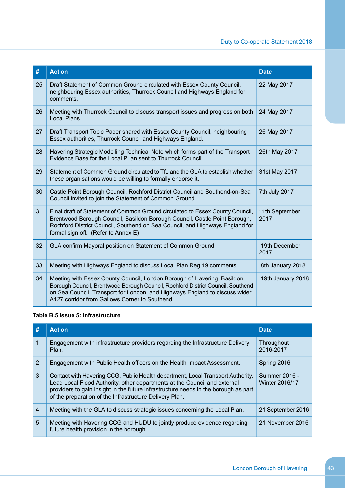| #  | <b>Action</b>                                                                                                                                                                                                                                                                               | <b>Date</b>            |
|----|---------------------------------------------------------------------------------------------------------------------------------------------------------------------------------------------------------------------------------------------------------------------------------------------|------------------------|
| 25 | Draft Statement of Common Ground circulated with Essex County Council,<br>neighbouring Essex authorities, Thurrock Council and Highways England for<br>comments.                                                                                                                            | 22 May 2017            |
| 26 | Meeting with Thurrock Council to discuss transport issues and progress on both<br>Local Plans.                                                                                                                                                                                              | 24 May 2017            |
| 27 | Draft Transport Topic Paper shared with Essex County Council, neighbouring<br>Essex authorities, Thurrock Council and Highways England.                                                                                                                                                     | 26 May 2017            |
| 28 | Havering Strategic Modelling Technical Note which forms part of the Transport<br>Evidence Base for the Local PLan sent to Thurrock Council.                                                                                                                                                 | 26th May 2017          |
| 29 | Statement of Common Ground circulated to TfL and the GLA to establish whether<br>these organisations would be willing to formally endorse it.                                                                                                                                               | 31st May 2017          |
| 30 | Castle Point Borough Council, Rochford District Council and Southend-on-Sea<br>Council invited to join the Statement of Common Ground                                                                                                                                                       | 7th July 2017          |
| 31 | Final draft of Statement of Common Ground circulated to Essex County Council,<br>Brentwood Borough Council, Basildon Borough Council, Castle Point Borough,<br>Rochford District Council, Southend on Sea Council, and Highways England for<br>formal sign off. (Refer to Annex E)          | 11th September<br>2017 |
| 32 | GLA confirm Mayoral position on Statement of Common Ground                                                                                                                                                                                                                                  | 19th December<br>2017  |
| 33 | Meeting with Highways England to discuss Local Plan Reg 19 comments                                                                                                                                                                                                                         | 8th January 2018       |
| 34 | Meeting with Essex County Council, London Borough of Havering, Basildon<br>Borough Council, Brentwood Borough Council, Rochford District Council, Southend<br>on Sea Council, Transport for London, and Highways England to discuss wider<br>A127 corridor from Gallows Corner to Southend. | 19th January 2018      |

## **Table B.5 Issue 5: Infrastructure**

| #              | <b>Action</b>                                                                                                                                                                                                                                                                                                  | <b>Date</b>                            |
|----------------|----------------------------------------------------------------------------------------------------------------------------------------------------------------------------------------------------------------------------------------------------------------------------------------------------------------|----------------------------------------|
|                | Engagement with infrastructure providers regarding the Infrastructure Delivery<br>Plan.                                                                                                                                                                                                                        | Throughout<br>2016-2017                |
| 2              | Engagement with Public Health officers on the Health Impact Assessment.                                                                                                                                                                                                                                        | Spring 2016                            |
| 3              | Contact with Havering CCG, Public Health department, Local Transport Authority,<br>Lead Local Flood Authority, other departments at the Council and external<br>providers to gain insight in the future infrastructure needs in the borough as part<br>of the preparation of the Infrastructure Delivery Plan. | Summer 2016 -<br><b>Winter 2016/17</b> |
| $\overline{4}$ | Meeting with the GLA to discuss strategic issues concerning the Local Plan.                                                                                                                                                                                                                                    | 21 September 2016                      |
| 5              | Meeting with Havering CCG and HUDU to jointly produce evidence regarding<br>future health provision in the borough.                                                                                                                                                                                            | 21 November 2016                       |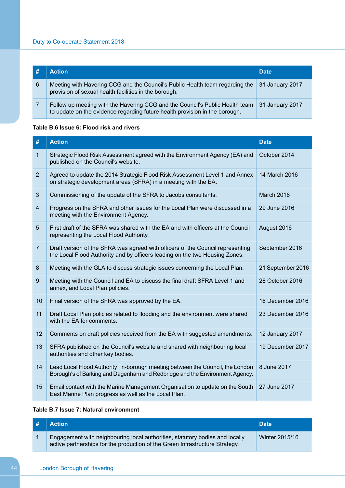|    | <b>Action</b>                                                                                                                                               | <b>Date</b>     |
|----|-------------------------------------------------------------------------------------------------------------------------------------------------------------|-----------------|
| -6 | Meeting with Havering CCG and the Council's Public Health team regarding the<br>provision of sexual health facilities in the borough.                       | 31 January 2017 |
|    | Follow up meeting with the Havering CCG and the Council's Public Health team<br>to update on the evidence regarding future health provision in the borough. | 31 January 2017 |

## **Table B.6 Issue 6: Flood risk and rivers**

| #              | <b>Action</b>                                                                                                                                                 | <b>Date</b>       |
|----------------|---------------------------------------------------------------------------------------------------------------------------------------------------------------|-------------------|
| $\mathbf{1}$   | Strategic Flood Risk Assessment agreed with the Environment Agency (EA) and<br>published on the Council's website.                                            | October 2014      |
| $\overline{2}$ | Agreed to update the 2014 Strategic Flood Risk Assessment Level 1 and Annex<br>on strategic development areas (SFRA) in a meeting with the EA.                | 14 March 2016     |
| 3              | Commissioning of the update of the SFRA to Jacobs consultants.                                                                                                | March 2016        |
| $\overline{4}$ | Progress on the SFRA and other issues for the Local Plan were discussed in a<br>meeting with the Environment Agency.                                          | 29 June 2016      |
| 5              | First draft of the SFRA was shared with the EA and with officers at the Council<br>representing the Local Flood Authority.                                    | August 2016       |
| $\overline{7}$ | Draft version of the SFRA was agreed with officers of the Council representing<br>the Local Flood Authority and by officers leading on the two Housing Zones. | September 2016    |
| 8              | Meeting with the GLA to discuss strategic issues concerning the Local Plan.                                                                                   | 21 September 2016 |
| 9              | Meeting with the Council and EA to discuss the final draft SFRA Level 1 and<br>annex, and Local Plan policies.                                                | 28 October 2016   |
| 10             | Final version of the SFRA was approved by the EA.                                                                                                             | 16 December 2016  |
| 11             | Draft Local Plan policies related to flooding and the environment were shared<br>with the EA for comments.                                                    | 23 December 2016  |
| 12             | Comments on draft policies received from the EA with suggested amendments.                                                                                    | 12 January 2017   |
| 13             | SFRA published on the Council's website and shared with neighbouring local<br>authorities and other key bodies.                                               | 19 December 2017  |
| 14             | Lead Local Flood Authority Tri-borough meeting between the Council, the London<br>Borough's of Barking and Dagenham and Redbridge and the Environment Agency. | 8 June 2017       |
| 15             | Email contact with the Marine Management Organisation to update on the South<br>East Marine Plan progress as well as the Local Plan.                          | 27 June 2017      |

## **Table B.7 Issue 7: Natural environment**

| # | <b>Action</b>                                                                                                                                                | <b>Date</b>    |
|---|--------------------------------------------------------------------------------------------------------------------------------------------------------------|----------------|
|   | Engagement with neighbouring local authorities, statutory bodies and locally<br>active partnerships for the production of the Green Infrastructure Strategy. | Winter 2015/16 |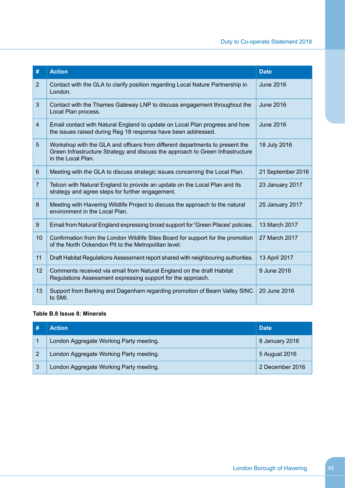| #              | <b>Action</b>                                                                                                                                                                        | <b>Date</b>       |
|----------------|--------------------------------------------------------------------------------------------------------------------------------------------------------------------------------------|-------------------|
| $\overline{2}$ | Contact with the GLA to clarify position regarding Local Nature Partnership in<br>London.                                                                                            | <b>June 2016</b>  |
| 3              | Contact with the Thames Gateway LNP to discuss engagement throughout the<br>Local Plan process.                                                                                      | <b>June 2016</b>  |
| $\overline{4}$ | Email contact with Natural England to update on Local Plan progress and how<br>the issues raised during Reg 18 response have been addressed.                                         | <b>June 2016</b>  |
| 5              | Workshop with the GLA and officers from different departments to present the<br>Green Infrastructure Strategy and discuss the approach to Green Infrastructure<br>in the Local Plan. | 18 July 2016      |
| 6              | Meeting with the GLA to discuss strategic issues concerning the Local Plan.                                                                                                          | 21 September 2016 |
| $\overline{7}$ | Telcon with Natural England to provide an update on the Local Plan and its<br>strategy and agree steps for further engagement.                                                       | 23 January 2017   |
| 8              | Meeting with Havering Wildlife Project to discuss the approach to the natural<br>environment in the Local Plan.                                                                      | 25 January 2017   |
| 9              | Email from Natural England expressing broad support for 'Green Places' policies.                                                                                                     | 13 March 2017     |
| 10             | Confirmation from the London Wildlife Sites Board for support for the promotion<br>of the North Ockendon Pit to the Metropolitan level.                                              | 27 March 2017     |
| 11             | Draft Habitat Regulations Assessment report shared with neighbouring authorities.                                                                                                    | 13 April 2017     |
| 12             | Comments received via email from Natural England on the draft Habitat<br>Regulations Assessment expressing support for the approach.                                                 | 9 June 2016       |
| 13             | Support from Barking and Dagenham regarding promotion of Beam Valley SINC<br>to SMI.                                                                                                 | 20 June 2016      |

## **Table B.8 Issue 8: Minerals**

|    | <b>Action</b>                           | <b>Date</b>     |
|----|-----------------------------------------|-----------------|
|    | London Aggregate Working Party meeting. | 8 January 2016  |
|    | London Aggregate Working Party meeting. | 5 August 2016   |
| -3 | London Aggregate Working Party meeting. | 2 December 2016 |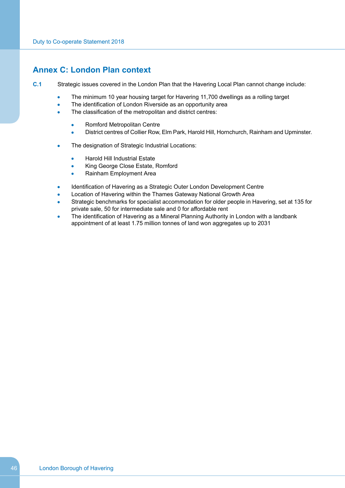## <span id="page-47-0"></span>**Annex C: London Plan context**

- **C.1** Strategic issues covered in the London Plan that the Havering Local Plan cannot change include:
	- The minimum 10 year housing target for Havering 11,700 dwellings as a rolling target  $\bullet$
	- The identification of London Riverside as an opportunity area
	- The classification of the metropolitan and district centres:
		- Romford Metropolitan Centre  $\bullet$
		- District centres of Collier Row, Elm Park, Harold Hill, Hornchurch, Rainham and Upminster.  $\overline{\phantom{a}}$
	- The designation of Strategic Industrial Locations:
		- Harold Hill Industrial Estate
		- King George Close Estate, Romford
		- Rainham Employment Area  $\Delta$
	- Identification of Havering as a Strategic Outer London Development Centre
	- Location of Havering within the Thames Gateway National Growth Area
	- Strategic benchmarks for specialist accommodation for older people in Havering, set at 135 for private sale, 50 for intermediate sale and 0 for affordable rent
	- The identification of Havering as a Mineral Planning Authority in London with a landbank appointment of at least 1.75 million tonnes of land won aggregates up to 2031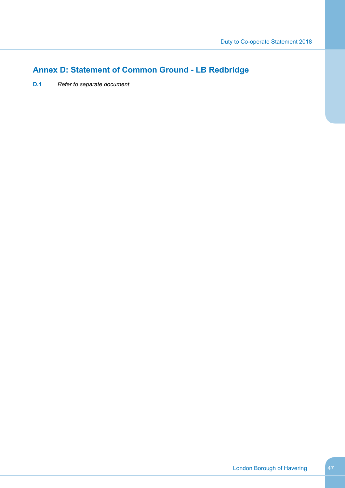# <span id="page-48-0"></span>**Annex D: Statement of Common Ground - LB Redbridge**

**D.1** *Refer to separate document*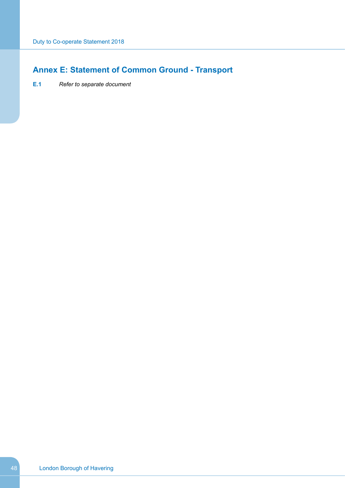# <span id="page-49-0"></span>**Annex E: Statement of Common Ground - Transport**

**E.1** *Refer to separate document*